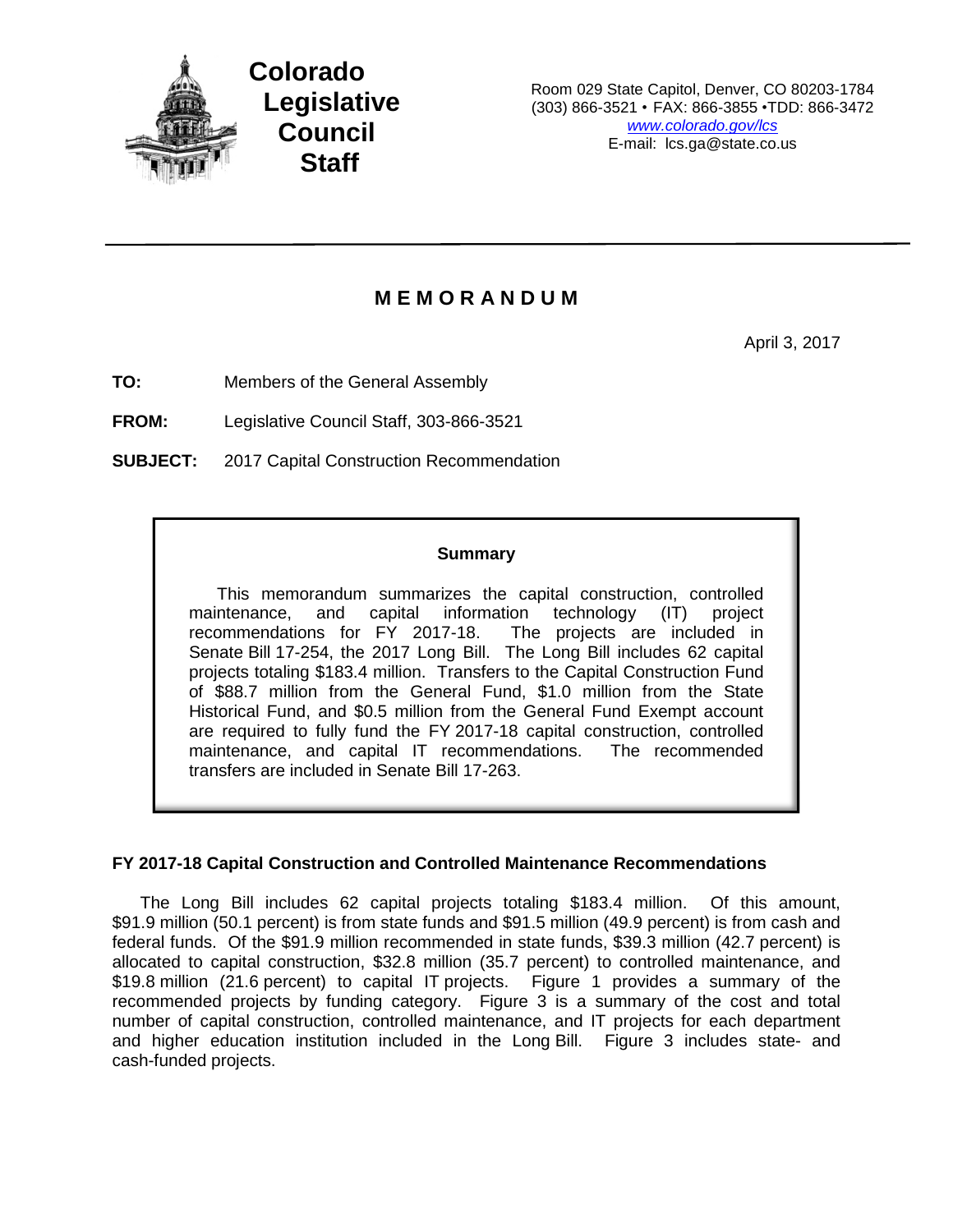

**Colorado Legislative Council Staff**

Room 029 State Capitol, Denver, CO 80203-1784 (303) 866-3521 • FAX: 866-3855 •TDD: 866-3472 *www.colorado.gov/lcs* E-mail: lcs.ga@state.co.us

## **M E M O R A N D U M**

April 3, 2017

**TO:** Members of the General Assembly

**FROM:** Legislative Council Staff, 303-866-3521

**SUBJECT:** 2017 Capital Construction Recommendation

## **Summary**

This memorandum summarizes the capital construction, controlled maintenance, and capital information technology (IT) project recommendations for FY 2017-18. The projects are included in Senate Bill 17-254, the 2017 Long Bill. The Long Bill includes 62 capital projects totaling \$183.4 million. Transfers to the Capital Construction Fund of \$88.7 million from the General Fund, \$1.0 million from the State Historical Fund, and \$0.5 million from the General Fund Exempt account are required to fully fund the FY 2017-18 capital construction, controlled maintenance, and capital IT recommendations. The recommended transfers are included in Senate Bill 17-263.

## **FY 2017-18 Capital Construction and Controlled Maintenance Recommendations**

The Long Bill includes 62 capital projects totaling \$183.4 million. Of this amount, \$91.9 million (50.1 percent) is from state funds and \$91.5 million (49.9 percent) is from cash and federal funds. Of the \$91.9 million recommended in state funds, \$39.3 million (42.7 percent) is allocated to capital construction, \$32.8 million (35.7 percent) to controlled maintenance, and \$19.8 million (21.6 percent) to capital IT projects. Figure 1 provides a summary of the recommended projects by funding category. Figure 3 is a summary of the cost and total number of capital construction, controlled maintenance, and IT projects for each department and higher education institution included in the Long Bill. Figure 3 includes state- and cash-funded projects.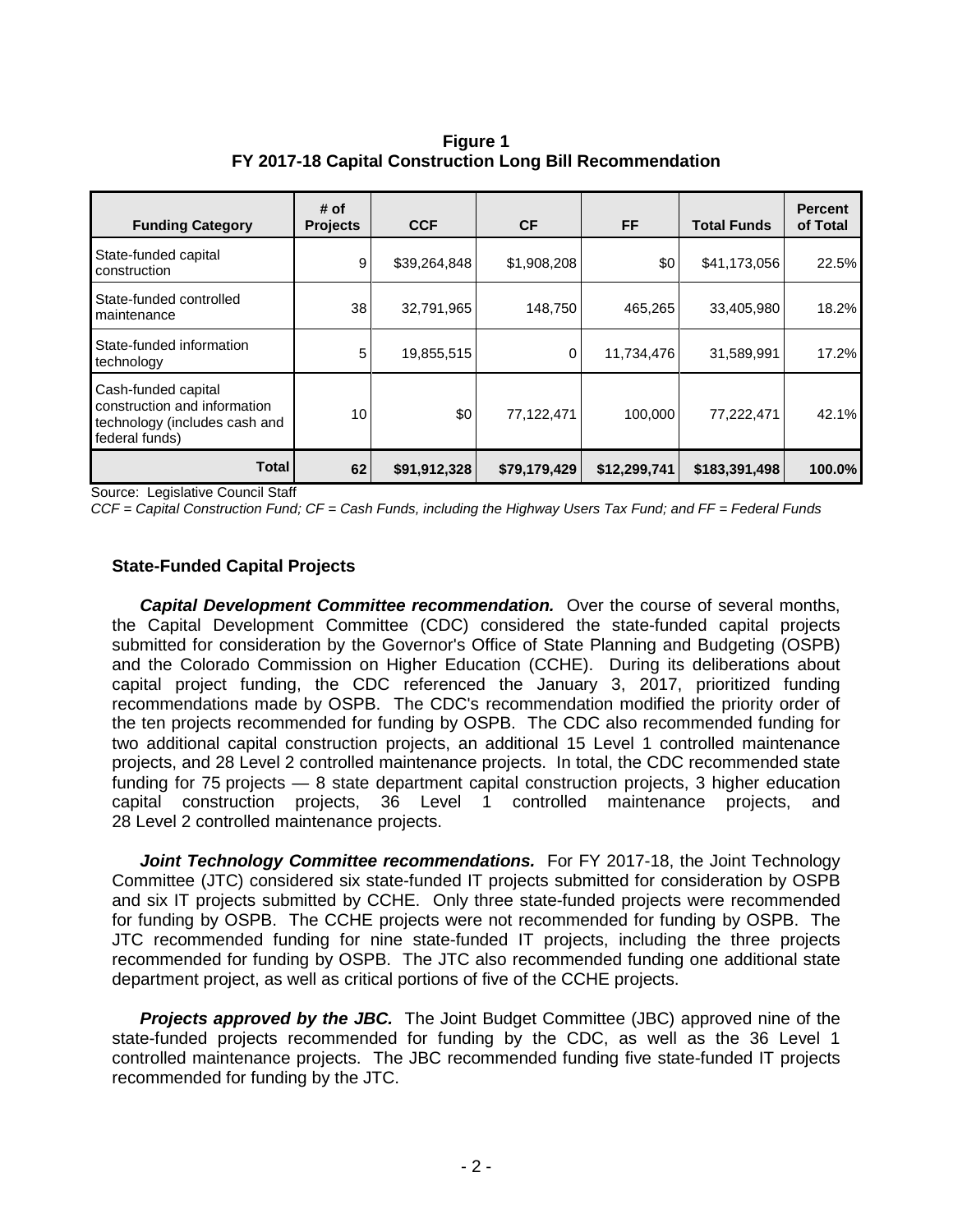**Figure 1 FY 2017-18 Capital Construction Long Bill Recommendation**

| <b>Funding Category</b>                                                                                | # of<br><b>Projects</b> | <b>CCF</b>   | <b>CF</b>    | <b>FF</b>    | <b>Total Funds</b> | <b>Percent</b><br>of Total |
|--------------------------------------------------------------------------------------------------------|-------------------------|--------------|--------------|--------------|--------------------|----------------------------|
| State-funded capital<br>construction                                                                   | 9                       | \$39,264,848 | \$1,908,208  | \$0          | \$41,173,056       | 22.5%                      |
| State-funded controlled<br>maintenance                                                                 | 38                      | 32,791,965   | 148,750      | 465,265      | 33,405,980         | 18.2%                      |
| State-funded information<br>technology                                                                 | 5                       | 19,855,515   | 0            | 11,734,476   | 31,589,991         | 17.2%                      |
| Cash-funded capital<br>construction and information<br>technology (includes cash and<br>federal funds) | 10                      | \$0          | 77,122,471   | 100.000      | 77,222,471         | 42.1%                      |
| Total                                                                                                  | 62                      | \$91,912,328 | \$79,179,429 | \$12,299,741 | \$183,391,498      | 100.0%                     |

Source: Legislative Council Staff

*CCF = Capital Construction Fund; CF = Cash Funds, including the Highway Users Tax Fund; and FF = Federal Funds*

## **State-Funded Capital Projects**

*Capital Development Committee recommendation.* Over the course of several months, the Capital Development Committee (CDC) considered the state-funded capital projects submitted for consideration by the Governor's Office of State Planning and Budgeting (OSPB) and the Colorado Commission on Higher Education (CCHE). During its deliberations about capital project funding, the CDC referenced the January 3, 2017, prioritized funding recommendations made by OSPB. The CDC's recommendation modified the priority order of the ten projects recommended for funding by OSPB. The CDC also recommended funding for two additional capital construction projects, an additional 15 Level 1 controlled maintenance projects, and 28 Level 2 controlled maintenance projects. In total, the CDC recommended state funding for 75 projects — 8 state department capital construction projects, 3 higher education capital construction projects, 36 Level 1 controlled maintenance projects, and 28 Level 2 controlled maintenance projects.

*Joint Technology Committee recommendations.* For FY 2017-18, the Joint Technology Committee (JTC) considered six state-funded IT projects submitted for consideration by OSPB and six IT projects submitted by CCHE. Only three state-funded projects were recommended for funding by OSPB. The CCHE projects were not recommended for funding by OSPB. The JTC recommended funding for nine state-funded IT projects, including the three projects recommended for funding by OSPB. The JTC also recommended funding one additional state department project, as well as critical portions of five of the CCHE projects.

*Projects approved by the JBC.* The Joint Budget Committee (JBC) approved nine of the state-funded projects recommended for funding by the CDC, as well as the 36 Level 1 controlled maintenance projects. The JBC recommended funding five state-funded IT projects recommended for funding by the JTC.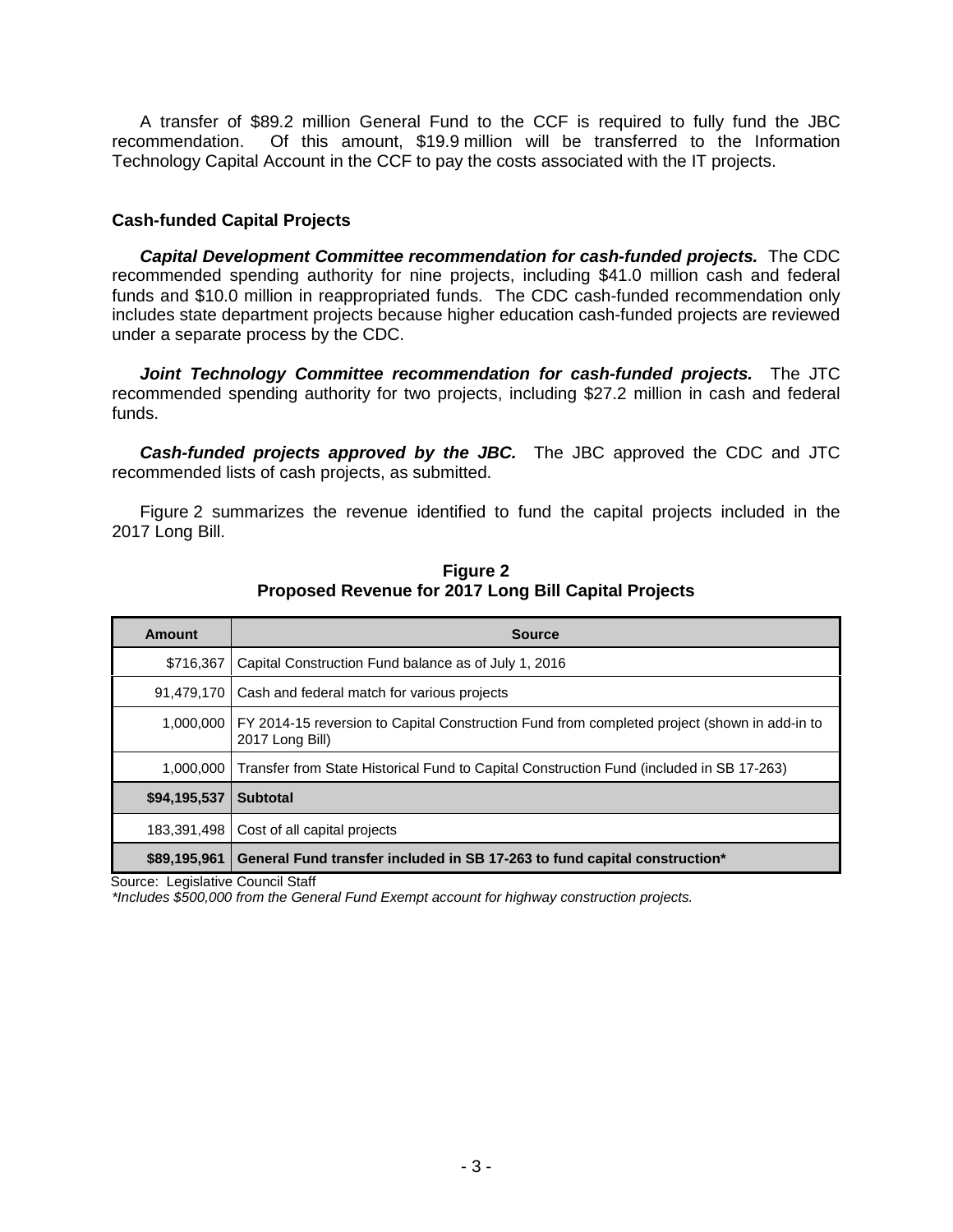A transfer of \$89.2 million General Fund to the CCF is required to fully fund the JBC recommendation. Of this amount, \$19.9 million will be transferred to the Information Technology Capital Account in the CCF to pay the costs associated with the IT projects.

## **Cash-funded Capital Projects**

*Capital Development Committee recommendation for cash-funded projects.* The CDC recommended spending authority for nine projects, including \$41.0 million cash and federal funds and \$10.0 million in reappropriated funds. The CDC cash-funded recommendation only includes state department projects because higher education cash-funded projects are reviewed under a separate process by the CDC.

*Joint Technology Committee recommendation for cash-funded projects.* The JTC recommended spending authority for two projects, including \$27.2 million in cash and federal funds.

*Cash-funded projects approved by the JBC.* The JBC approved the CDC and JTC recommended lists of cash projects, as submitted.

Figure 2 summarizes the revenue identified to fund the capital projects included in the 2017 Long Bill.

| Amount       | <b>Source</b>                                                                                                   |
|--------------|-----------------------------------------------------------------------------------------------------------------|
| \$716,367    | Capital Construction Fund balance as of July 1, 2016                                                            |
| 91,479,170   | Cash and federal match for various projects                                                                     |
| 1,000,000    | FY 2014-15 reversion to Capital Construction Fund from completed project (shown in add-in to<br>2017 Long Bill) |
| 1.000.000    | Transfer from State Historical Fund to Capital Construction Fund (included in SB 17-263)                        |
| \$94,195,537 | <b>Subtotal</b>                                                                                                 |
| 183,391,498  | Cost of all capital projects                                                                                    |
| \$89,195,961 | General Fund transfer included in SB 17-263 to fund capital construction*                                       |

**Figure 2 Proposed Revenue for 2017 Long Bill Capital Projects**

Source: Legislative Council Staff

*\*Includes \$500,000 from the General Fund Exempt account for highway construction projects.*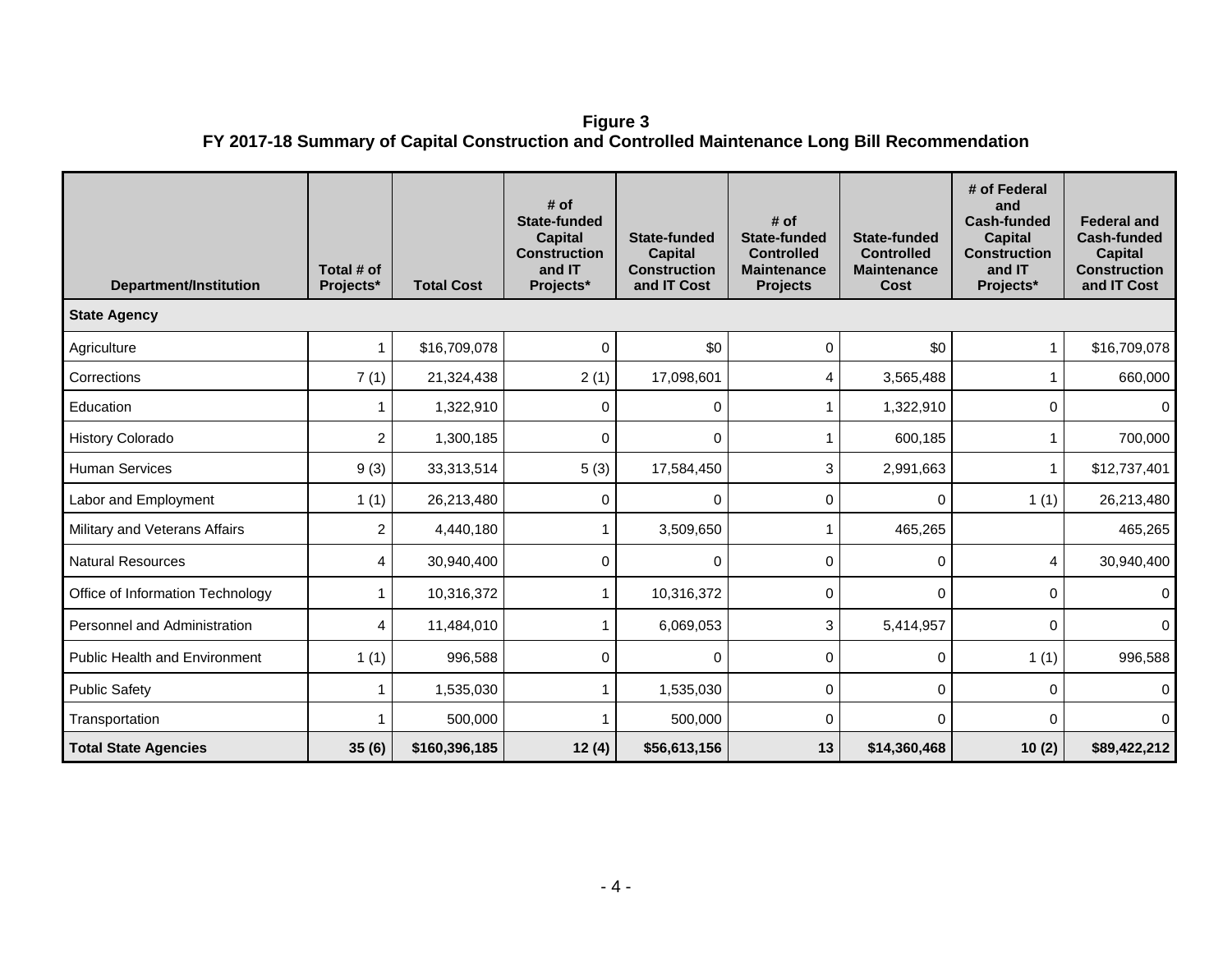**Figure 3 FY 2017-18 Summary of Capital Construction and Controlled Maintenance Long Bill Recommendation**

| <b>Department/Institution</b>        | Total # of<br>Projects* | <b>Total Cost</b> | # of<br><b>State-funded</b><br><b>Capital</b><br><b>Construction</b><br>and IT<br>Projects* | State-funded<br><b>Capital</b><br><b>Construction</b><br>and IT Cost | # of<br><b>State-funded</b><br><b>Controlled</b><br><b>Maintenance</b><br><b>Projects</b> | State-funded<br><b>Controlled</b><br><b>Maintenance</b><br>Cost | # of Federal<br>and<br><b>Cash-funded</b><br><b>Capital</b><br><b>Construction</b><br>and IT<br>Projects* | <b>Federal and</b><br><b>Cash-funded</b><br><b>Capital</b><br><b>Construction</b><br>and IT Cost |
|--------------------------------------|-------------------------|-------------------|---------------------------------------------------------------------------------------------|----------------------------------------------------------------------|-------------------------------------------------------------------------------------------|-----------------------------------------------------------------|-----------------------------------------------------------------------------------------------------------|--------------------------------------------------------------------------------------------------|
| <b>State Agency</b>                  |                         |                   |                                                                                             |                                                                      |                                                                                           |                                                                 |                                                                                                           |                                                                                                  |
| Agriculture                          | 1                       | \$16,709,078      | 0                                                                                           | \$0                                                                  | 0                                                                                         | \$0                                                             | 1                                                                                                         | \$16,709,078                                                                                     |
| Corrections                          | 7(1)                    | 21,324,438        | 2(1)                                                                                        | 17,098,601                                                           | 4                                                                                         | 3,565,488                                                       |                                                                                                           | 660,000                                                                                          |
| Education                            | 1                       | 1,322,910         | 0                                                                                           | 0                                                                    |                                                                                           | 1,322,910                                                       | 0                                                                                                         | $\mathbf 0$                                                                                      |
| <b>History Colorado</b>              | $\overline{c}$          | 1,300,185         | 0                                                                                           | 0                                                                    |                                                                                           | 600,185                                                         |                                                                                                           | 700,000                                                                                          |
| <b>Human Services</b>                | 9(3)                    | 33,313,514        | 5(3)                                                                                        | 17,584,450                                                           | 3                                                                                         | 2,991,663                                                       | 1                                                                                                         | \$12,737,401                                                                                     |
| Labor and Employment                 | 1(1)                    | 26,213,480        | 0                                                                                           | 0                                                                    | 0                                                                                         | 0                                                               | 1(1)                                                                                                      | 26,213,480                                                                                       |
| Military and Veterans Affairs        | 2                       | 4,440,180         | 1                                                                                           | 3,509,650                                                            |                                                                                           | 465,265                                                         |                                                                                                           | 465,265                                                                                          |
| <b>Natural Resources</b>             | 4                       | 30,940,400        | 0                                                                                           | 0                                                                    | $\Omega$                                                                                  | 0                                                               | 4                                                                                                         | 30,940,400                                                                                       |
| Office of Information Technology     | 1                       | 10,316,372        | 1                                                                                           | 10,316,372                                                           | 0                                                                                         | 0                                                               | $\Omega$                                                                                                  | $\mathbf 0$                                                                                      |
| Personnel and Administration         | 4                       | 11,484,010        | 1                                                                                           | 6,069,053                                                            | 3                                                                                         | 5,414,957                                                       | 0                                                                                                         | 0                                                                                                |
| <b>Public Health and Environment</b> | 1(1)                    | 996,588           | 0                                                                                           | 0                                                                    | $\Omega$                                                                                  | 0                                                               | 1(1)                                                                                                      | 996,588                                                                                          |
| <b>Public Safety</b>                 | 1                       | 1,535,030         | 1                                                                                           | 1,535,030                                                            | 0                                                                                         | 0                                                               | $\Omega$                                                                                                  | 0                                                                                                |
| Transportation                       |                         | 500,000           | 1                                                                                           | 500,000                                                              | 0                                                                                         | 0                                                               | 0                                                                                                         | $\mathbf{0}$                                                                                     |
| <b>Total State Agencies</b>          | 35(6)                   | \$160,396,185     | 12(4)                                                                                       | \$56,613,156                                                         | 13                                                                                        | \$14,360,468                                                    | 10(2)                                                                                                     | \$89,422,212                                                                                     |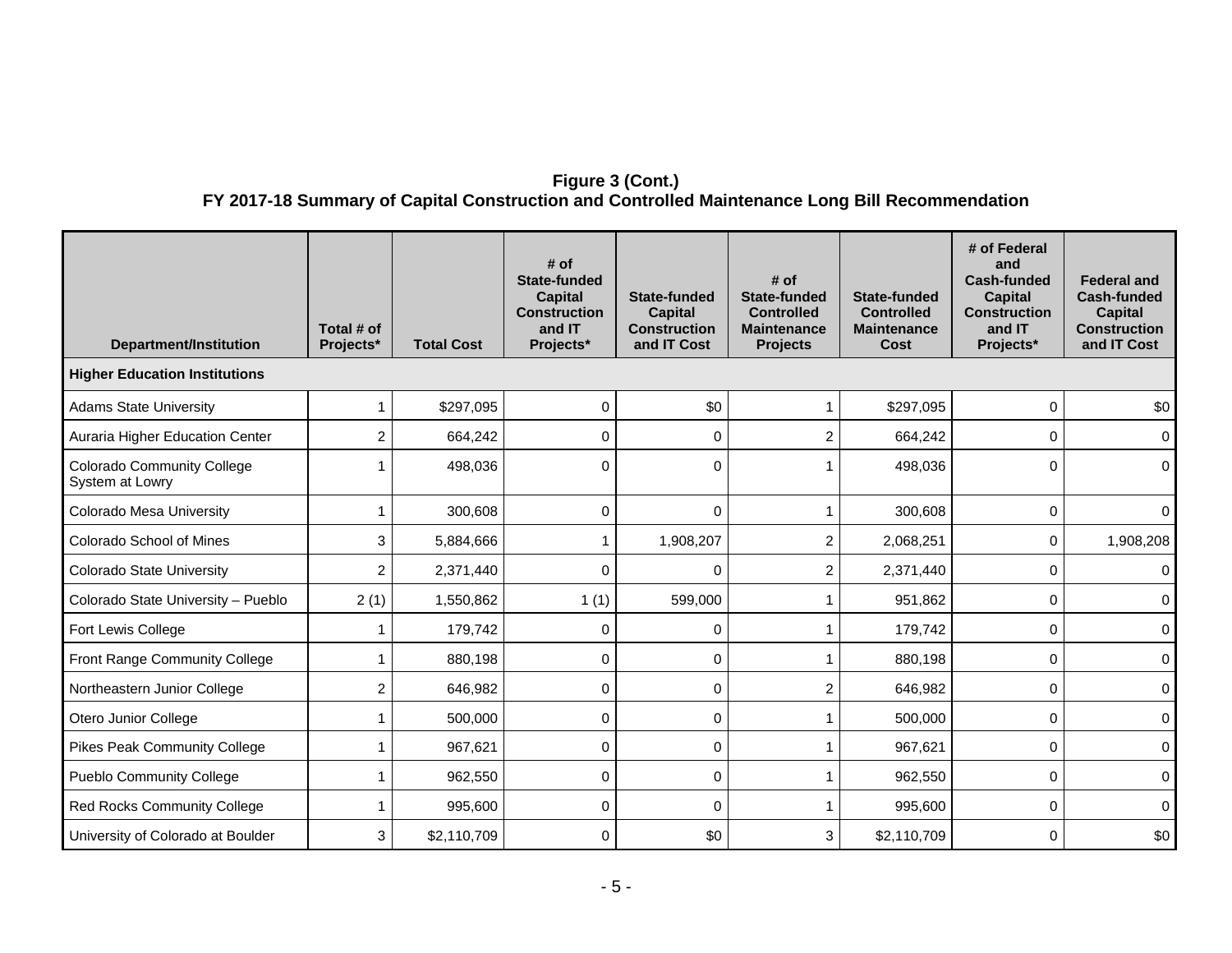## **Figure 3 (Cont.) FY 2017-18 Summary of Capital Construction and Controlled Maintenance Long Bill Recommendation**

| <b>Department/Institution</b>                        | Total # of<br>Projects* | <b>Total Cost</b> | # of<br><b>State-funded</b><br><b>Capital</b><br><b>Construction</b><br>and IT<br>Projects* | <b>State-funded</b><br><b>Capital</b><br><b>Construction</b><br>and IT Cost | # of<br>State-funded<br><b>Controlled</b><br><b>Maintenance</b><br><b>Projects</b> | <b>State-funded</b><br><b>Controlled</b><br><b>Maintenance</b><br><b>Cost</b> | # of Federal<br>and<br><b>Cash-funded</b><br><b>Capital</b><br><b>Construction</b><br>and IT<br>Projects* | <b>Federal and</b><br>Cash-funded<br><b>Capital</b><br><b>Construction</b><br>and IT Cost |
|------------------------------------------------------|-------------------------|-------------------|---------------------------------------------------------------------------------------------|-----------------------------------------------------------------------------|------------------------------------------------------------------------------------|-------------------------------------------------------------------------------|-----------------------------------------------------------------------------------------------------------|-------------------------------------------------------------------------------------------|
| <b>Higher Education Institutions</b>                 |                         |                   |                                                                                             |                                                                             |                                                                                    |                                                                               |                                                                                                           |                                                                                           |
| <b>Adams State University</b>                        | 1                       | \$297,095         | $\mathbf 0$                                                                                 | \$0                                                                         |                                                                                    | \$297,095                                                                     | 0                                                                                                         | \$0                                                                                       |
| Auraria Higher Education Center                      | 2                       | 664,242           | 0                                                                                           | 0                                                                           | 2                                                                                  | 664,242                                                                       | $\mathbf{0}$                                                                                              | 0                                                                                         |
| <b>Colorado Community College</b><br>System at Lowry | 1                       | 498,036           | $\mathbf{0}$                                                                                | $\Omega$                                                                    |                                                                                    | 498,036                                                                       | $\Omega$                                                                                                  | $\Omega$                                                                                  |
| Colorado Mesa University                             | 1                       | 300,608           | 0                                                                                           | $\mathbf 0$                                                                 |                                                                                    | 300,608                                                                       | 0                                                                                                         | 0                                                                                         |
| Colorado School of Mines                             | 3                       | 5,884,666         | 1                                                                                           | 1,908,207                                                                   | $\overline{c}$                                                                     | 2,068,251                                                                     | 0                                                                                                         | 1,908,208                                                                                 |
| <b>Colorado State University</b>                     | 2                       | 2,371,440         | $\Omega$                                                                                    | $\Omega$                                                                    | 2                                                                                  | 2,371,440                                                                     | $\mathbf{0}$                                                                                              | 0                                                                                         |
| Colorado State University - Pueblo                   | 2(1)                    | 1,550,862         | 1(1)                                                                                        | 599,000                                                                     |                                                                                    | 951,862                                                                       | $\Omega$                                                                                                  | $\Omega$                                                                                  |
| Fort Lewis College                                   | 1                       | 179,742           | $\Omega$                                                                                    | 0                                                                           |                                                                                    | 179,742                                                                       | $\Omega$                                                                                                  | 0                                                                                         |
| Front Range Community College                        | 1                       | 880,198           | 0                                                                                           | 0                                                                           |                                                                                    | 880,198                                                                       | $\mathbf{0}$                                                                                              | 0                                                                                         |
| Northeastern Junior College                          | 2                       | 646,982           | 0                                                                                           | 0                                                                           | 2                                                                                  | 646,982                                                                       | $\mathbf{0}$                                                                                              | 0                                                                                         |
| Otero Junior College                                 | 1                       | 500,000           | $\mathbf 0$                                                                                 | 0                                                                           |                                                                                    | 500,000                                                                       | $\mathbf 0$                                                                                               | $\mathbf 0$                                                                               |
| <b>Pikes Peak Community College</b>                  | 1                       | 967,621           | 0                                                                                           | 0                                                                           |                                                                                    | 967,621                                                                       | 0                                                                                                         | 0                                                                                         |
| <b>Pueblo Community College</b>                      | 1                       | 962,550           | 0                                                                                           | 0                                                                           |                                                                                    | 962,550                                                                       | 0                                                                                                         | 0                                                                                         |
| Red Rocks Community College                          | 1                       | 995,600           | 0                                                                                           | 0                                                                           |                                                                                    | 995,600                                                                       | 0                                                                                                         | 0                                                                                         |
| University of Colorado at Boulder                    | 3                       | \$2,110,709       | 0                                                                                           | \$0                                                                         | 3                                                                                  | \$2,110,709                                                                   | 0                                                                                                         | \$0                                                                                       |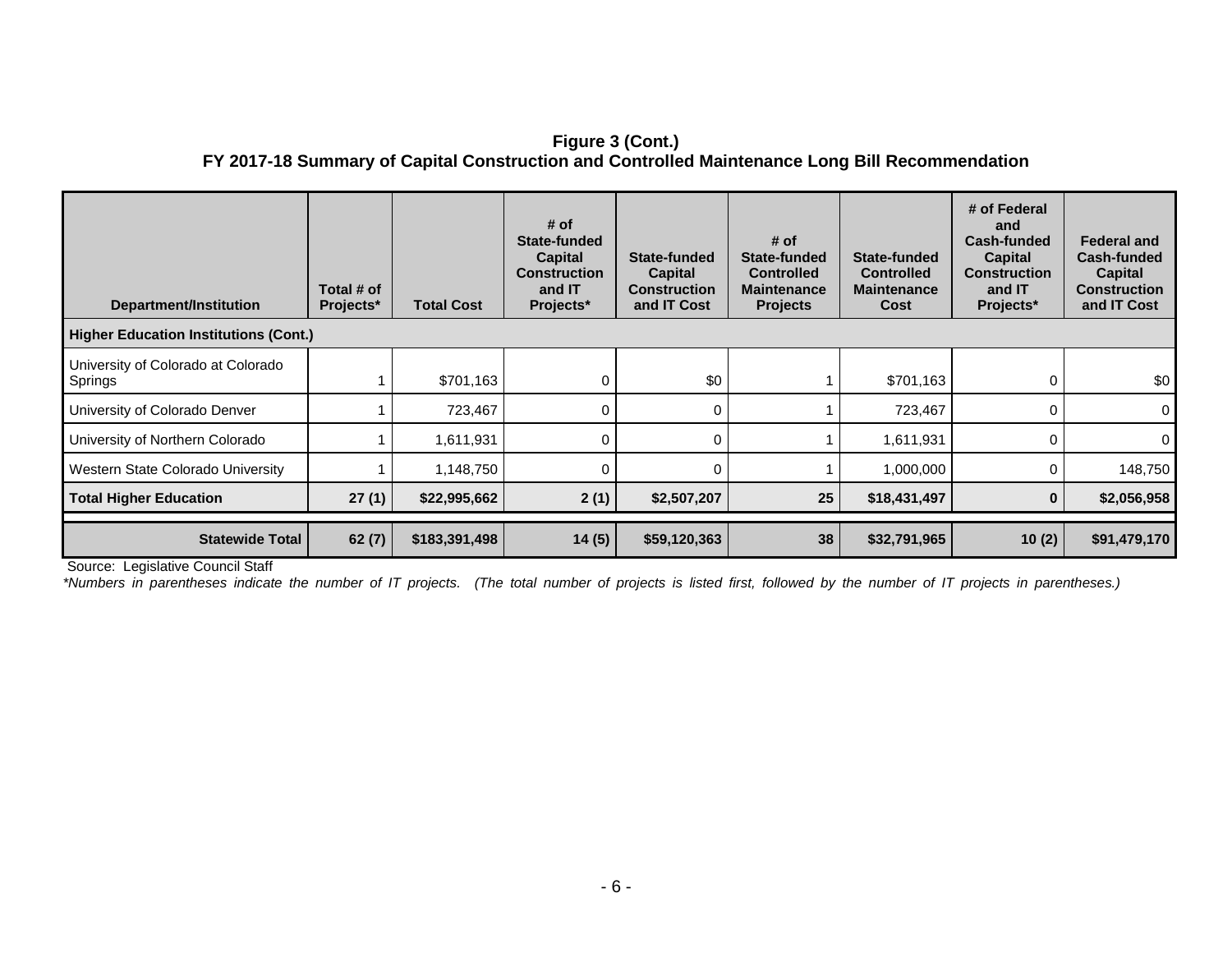## **Figure 3 (Cont.) FY 2017-18 Summary of Capital Construction and Controlled Maintenance Long Bill Recommendation**

| Department/Institution                        | Total # of<br>Projects* | <b>Total Cost</b> | # of<br>State-funded<br>Capital<br><b>Construction</b><br>and IT<br>Projects* | State-funded<br><b>Capital</b><br><b>Construction</b><br>and IT Cost | # of<br>State-funded<br><b>Controlled</b><br><b>Maintenance</b><br><b>Projects</b> | State-funded<br><b>Controlled</b><br><b>Maintenance</b><br>Cost | # of Federal<br>and<br>Cash-funded<br><b>Capital</b><br><b>Construction</b><br>and IT<br>Projects* | <b>Federal and</b><br>Cash-funded<br><b>Capital</b><br><b>Construction</b><br>and IT Cost |
|-----------------------------------------------|-------------------------|-------------------|-------------------------------------------------------------------------------|----------------------------------------------------------------------|------------------------------------------------------------------------------------|-----------------------------------------------------------------|----------------------------------------------------------------------------------------------------|-------------------------------------------------------------------------------------------|
| <b>Higher Education Institutions (Cont.)</b>  |                         |                   |                                                                               |                                                                      |                                                                                    |                                                                 |                                                                                                    |                                                                                           |
| University of Colorado at Colorado<br>Springs |                         | \$701,163         | 0                                                                             | \$0                                                                  |                                                                                    | \$701,163                                                       | 0                                                                                                  | \$0                                                                                       |
| University of Colorado Denver                 |                         | 723,467           | 0                                                                             | 0                                                                    |                                                                                    | 723,467                                                         | 0                                                                                                  | $\Omega$                                                                                  |
| University of Northern Colorado               |                         | 1,611,931         | 0                                                                             | 0                                                                    |                                                                                    | 1,611,931                                                       | 0                                                                                                  | $\Omega$                                                                                  |
| Western State Colorado University             |                         | 1,148,750         | 0                                                                             | 0                                                                    |                                                                                    | 1,000,000                                                       | 0                                                                                                  | 148,750                                                                                   |
| <b>Total Higher Education</b>                 | 27(1)                   | \$22,995,662      | 2(1)                                                                          | \$2,507,207                                                          | 25                                                                                 | \$18,431,497                                                    | $\bf{0}$                                                                                           | \$2,056,958                                                                               |
| <b>Statewide Total</b>                        | 62(7)                   | \$183,391,498     | 14(5)                                                                         | \$59,120,363                                                         | 38                                                                                 | \$32,791,965                                                    | 10(2)                                                                                              | \$91,479,170                                                                              |

Source: Legislative Council Staff

*\*Numbers in parentheses indicate the number of IT projects. (The total number of projects is listed first, followed by the number of IT projects in parentheses.)*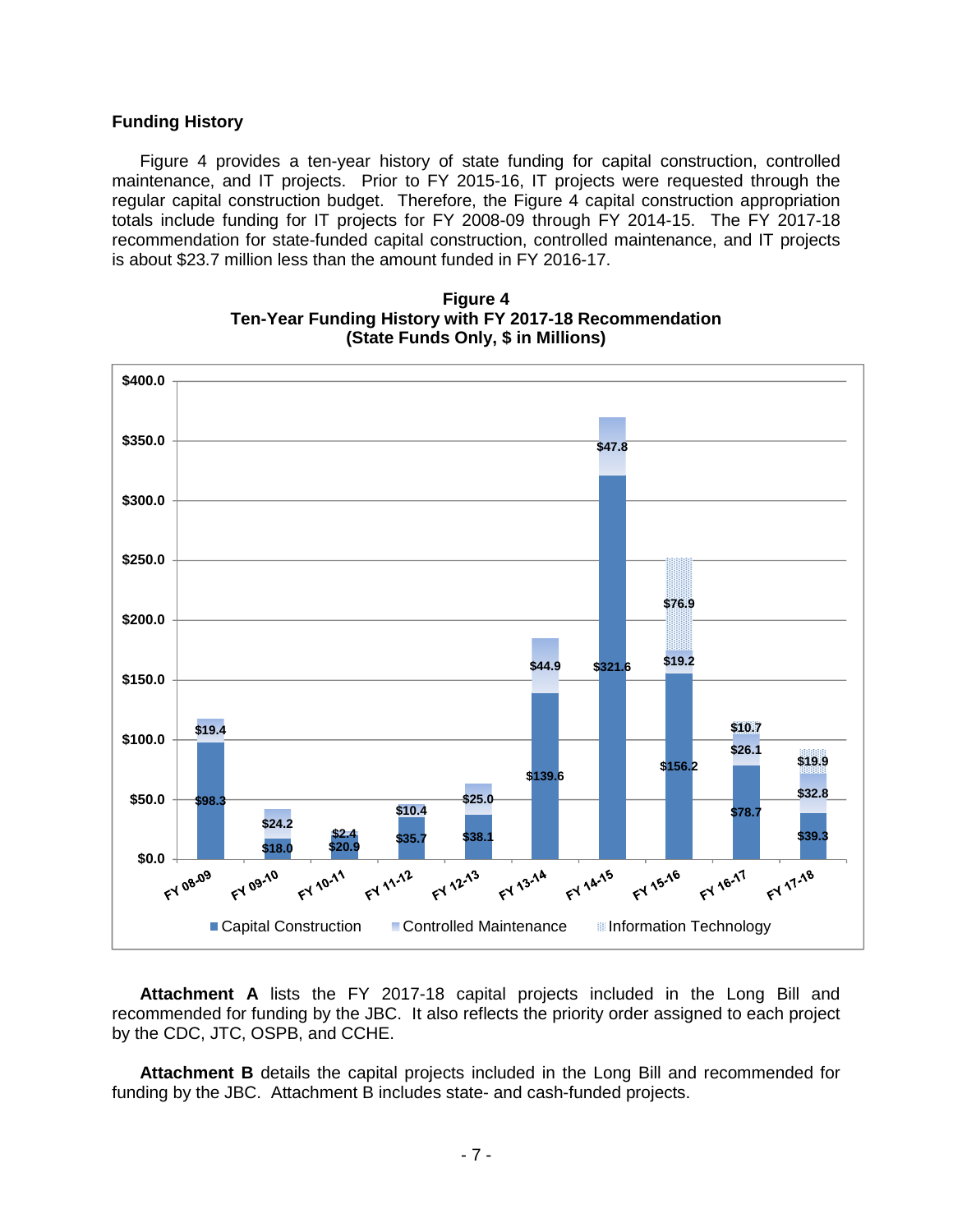## **Funding History**

Figure 4 provides a ten-year history of state funding for capital construction, controlled maintenance, and IT projects. Prior to FY 2015-16, IT projects were requested through the regular capital construction budget. Therefore, the Figure 4 capital construction appropriation totals include funding for IT projects for FY 2008-09 through FY 2014-15. The FY 2017-18 recommendation for state-funded capital construction, controlled maintenance, and IT projects is about \$23.7 million less than the amount funded in FY 2016-17.



**Figure 4 Ten-Year Funding History with FY 2017-18 Recommendation (State Funds Only, \$ in Millions)**

**Attachment A** lists the FY 2017-18 capital projects included in the Long Bill and recommended for funding by the JBC. It also reflects the priority order assigned to each project by the CDC, JTC, OSPB, and CCHE.

**Attachment B** details the capital projects included in the Long Bill and recommended for funding by the JBC. Attachment B includes state- and cash-funded projects.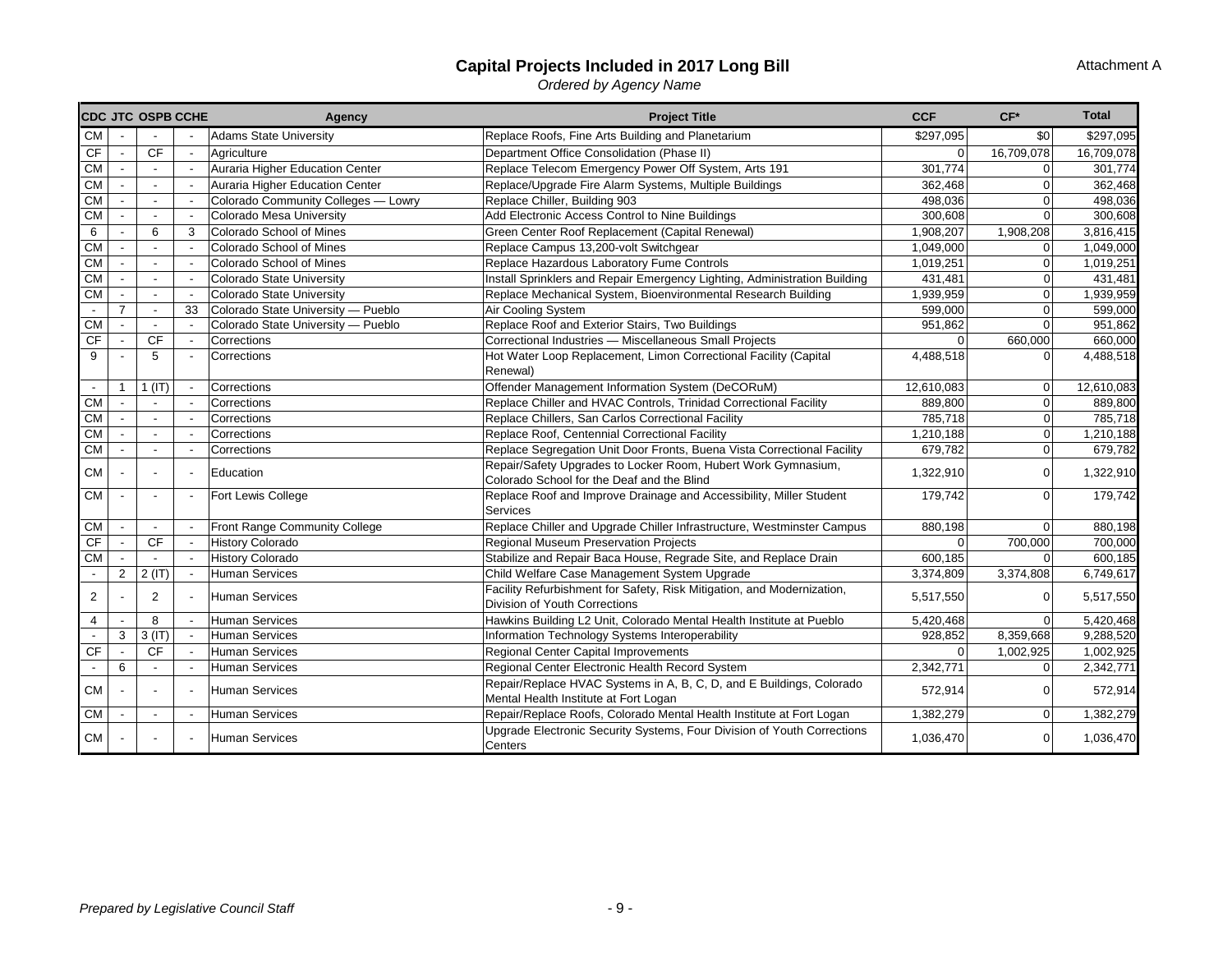#### **Capital Projects Included in 2017 Long Bill**

*Ordered by Agency Name*

|                          |                          | CDC JTC OSPB CCHE        |    | Agency                              | <b>Project Title</b>                                                                                          | <b>CCF</b>   | $CF*$          | <b>Total</b> |
|--------------------------|--------------------------|--------------------------|----|-------------------------------------|---------------------------------------------------------------------------------------------------------------|--------------|----------------|--------------|
| <b>CM</b>                |                          |                          |    | <b>Adams State University</b>       | Replace Roofs, Fine Arts Building and Planetarium                                                             | \$297,095    | \$0            | \$297,095    |
| <b>CF</b>                | $\sim$                   | <b>CF</b>                |    | Agriculture                         | Department Office Consolidation (Phase II)                                                                    | $\Omega$     | 16,709,078     | 16,709,078   |
| <b>CM</b>                |                          | $\blacksquare$           |    | Auraria Higher Education Center     | Replace Telecom Emergency Power Off System, Arts 191                                                          | 301,774      | 0              | 301,774      |
| <b>CM</b>                |                          |                          |    | Auraria Higher Education Center     | Replace/Upgrade Fire Alarm Systems, Multiple Buildings                                                        | 362,468      | 0              | 362,468      |
| <b>CM</b>                |                          | $\overline{\phantom{a}}$ |    | Colorado Community Colleges - Lowry | Replace Chiller, Building 903                                                                                 | 498,036      | 0              | 498,036      |
| <b>CM</b>                |                          |                          |    | Colorado Mesa University            | Add Electronic Access Control to Nine Buildings                                                               | 300,608      | $\Omega$       | 300,608      |
| 6                        | $\overline{\phantom{a}}$ | 6                        | 3  | Colorado School of Mines            | Green Center Roof Replacement (Capital Renewal)                                                               | 1,908,207    | 1,908,208      | 3,816,415    |
| CM                       |                          | $\blacksquare$           |    | Colorado School of Mines            | Replace Campus 13,200-volt Switchgear                                                                         | 1,049,000    | $\overline{0}$ | 1,049,000    |
| <b>CM</b>                |                          | $\overline{\phantom{a}}$ |    | Colorado School of Mines            | Replace Hazardous Laboratory Fume Controls                                                                    | 1,019,251    | $\mathbf 0$    | 1,019,251    |
| <b>CM</b>                |                          | $\sim$                   |    | Colorado State University           | Install Sprinklers and Repair Emergency Lighting, Administration Building                                     | 431,481      | $\overline{0}$ | 431,481      |
| <b>CM</b>                |                          | $\sim$                   |    | Colorado State University           | Replace Mechanical System, Bioenvironmental Research Building                                                 | 1,939,959    | $\mathbf 0$    | 1,939,959    |
| $\sim$                   | $\overline{7}$           | $\blacksquare$           | 33 | Colorado State University - Pueblo  | Air Cooling System                                                                                            | 599,000      | $\mathbf{O}$   | 599,000      |
| <b>CM</b>                |                          | $\blacksquare$           |    | Colorado State University - Pueblo  | Replace Roof and Exterior Stairs, Two Buildings                                                               | 951,862      | $\mathbf 0$    | 951,862      |
| CF                       |                          | <b>CF</b>                |    | Corrections                         | Correctional Industries - Miscellaneous Small Projects                                                        | $\mathbf{0}$ | 660,000        | 660,000      |
| 9                        |                          | 5                        |    | Corrections                         | Hot Water Loop Replacement, Limon Correctional Facility (Capital<br>Renewal)                                  | 4,488,518    | $\overline{0}$ | 4,488,518    |
| $\overline{\phantom{a}}$ | $\mathbf 1$              | $1$ ( $ T $ )            |    | Corrections                         | Offender Management Information System (DeCORuM)                                                              | 12.610.083   | $\mathbf 0$    | 12,610,083   |
| <b>CM</b>                |                          |                          |    | Corrections                         | Replace Chiller and HVAC Controls, Trinidad Correctional Facility                                             | 889,800      | 0              | 889,800      |
| ${\sf CM}$               |                          | $\blacksquare$           |    | Corrections                         | Replace Chillers, San Carlos Correctional Facility                                                            | 785,718      | 0              | 785,718      |
| <b>CM</b>                |                          | $\overline{a}$           |    | Corrections                         | Replace Roof, Centennial Correctional Facility                                                                | 1,210,188    | $\overline{0}$ | 1,210,188    |
| <b>CM</b>                |                          | $\overline{a}$           |    | Corrections                         | Replace Segregation Unit Door Fronts, Buena Vista Correctional Facility                                       | 679,782      | $\mathbf 0$    | 679,782      |
| <b>CM</b>                |                          | $\overline{\phantom{a}}$ |    | Education                           | Repair/Safety Upgrades to Locker Room, Hubert Work Gymnasium,<br>Colorado School for the Deaf and the Blind   | 1,322,910    | $\mathbf 0$    | 1,322,910    |
| ${\sf CM}$               |                          | $\overline{\phantom{a}}$ |    | Fort Lewis College                  | Replace Roof and Improve Drainage and Accessibility, Miller Student<br><b>Services</b>                        | 179,742      | $\Omega$       | 179,742      |
| <b>CM</b>                | $\sim$                   | $\sim$                   |    | Front Range Community College       | Replace Chiller and Upgrade Chiller Infrastructure, Westminster Campus                                        | 880,198      | $\Omega$       | 880,198      |
| CF                       |                          | <b>CF</b>                |    | <b>History Colorado</b>             | Regional Museum Preservation Projects                                                                         | $\mathbf{0}$ | 700,000        | 700,000      |
| CM                       |                          |                          |    | <b>History Colorado</b>             | Stabilize and Repair Baca House, Regrade Site, and Replace Drain                                              | 600,185      | $\Omega$       | 600,185      |
| $\overline{\phantom{a}}$ | $\overline{2}$           | 2(IT)                    |    | <b>Human Services</b>               | Child Welfare Case Management System Upgrade                                                                  | 3,374,809    | 3,374,808      | 6,749,617    |
| 2                        |                          | 2                        |    | <b>Human Services</b>               | Facility Refurbishment for Safety, Risk Mitigation, and Modernization,<br>Division of Youth Corrections       | 5,517,550    | $\mathbf 0$    | 5,517,550    |
| $\overline{4}$           |                          | 8                        |    | <b>Human Services</b>               | Hawkins Building L2 Unit, Colorado Mental Health Institute at Pueblo                                          | 5,420,468    | $\overline{0}$ | 5,420,468    |
| $\overline{\phantom{a}}$ | 3                        | 3(IT)                    |    | <b>Human Services</b>               | Information Technology Systems Interoperability                                                               | 928,852      | 8,359,668      | 9,288,520    |
| CF                       |                          | <b>CF</b>                |    | <b>Human Services</b>               | Regional Center Capital Improvements                                                                          | $\mathbf{0}$ | 1,002,925      | 1,002,925    |
| $\overline{\phantom{a}}$ | 6                        | $\blacksquare$           |    | <b>Human Services</b>               | Regional Center Electronic Health Record System                                                               | 2,342,771    | 0              | 2,342,771    |
| <b>CM</b>                |                          | $\blacksquare$           |    | <b>Human Services</b>               | Repair/Replace HVAC Systems in A, B, C, D, and E Buildings, Colorado<br>Mental Health Institute at Fort Logan | 572,914      | $\Omega$       | 572,914      |
| ${\sf CM}$               |                          | $\overline{\phantom{a}}$ |    | <b>Human Services</b>               | Repair/Replace Roofs, Colorado Mental Health Institute at Fort Logan                                          | 1,382,279    | $\mathbf 0$    | 1,382,279    |
| <b>CM</b>                |                          |                          |    | <b>Human Services</b>               | Upgrade Electronic Security Systems, Four Division of Youth Corrections<br>Centers                            | 1,036,470    | $\overline{0}$ | 1,036,470    |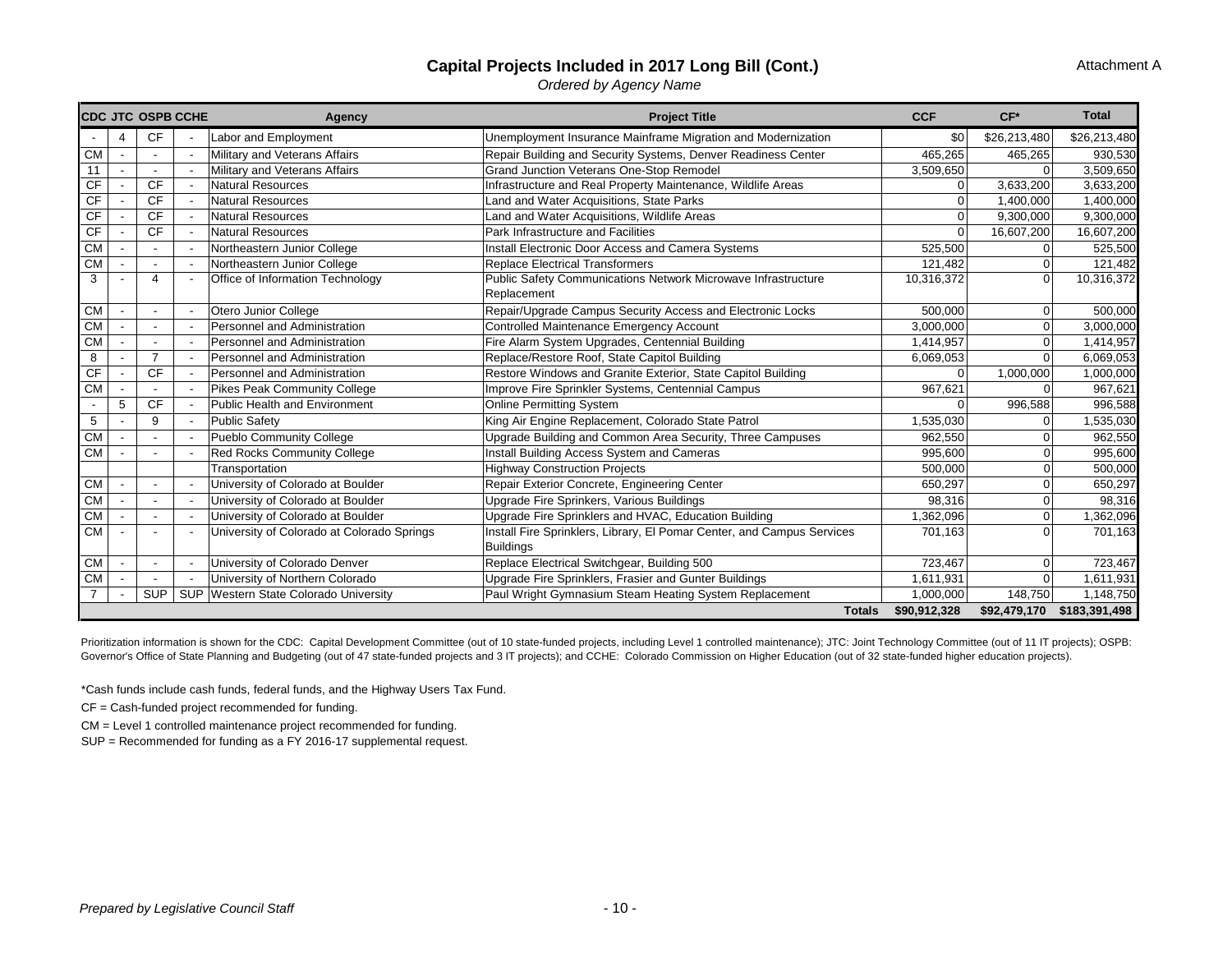## **Capital Projects Included in 2017 Long Bill (Cont.)**

Attachment A

*Ordered by Agency Name*

| <b>CDC JTC OSPB CCHE</b> |                | Agency                                     | <b>Project Title</b>                                                         | <b>CCF</b>   | $CF*$          | <b>Total</b>           |
|--------------------------|----------------|--------------------------------------------|------------------------------------------------------------------------------|--------------|----------------|------------------------|
|                          | <b>CF</b>      | Labor and Employment                       | Unemployment Insurance Mainframe Migration and Modernization                 | \$0          | \$26,213,480   | \$26,213,480           |
| <b>CM</b>                |                | Military and Veterans Affairs              | Repair Building and Security Systems, Denver Readiness Center                | 465,265      | 465,265        | 930,530                |
| 11                       |                | Military and Veterans Affairs              | <b>Grand Junction Veterans One-Stop Remodel</b>                              | 3,509,650    | $\Omega$       | 3,509,650              |
| <b>CF</b>                | <b>CF</b>      | <b>Natural Resources</b>                   | Infrastructure and Real Property Maintenance, Wildlife Areas                 | $\Omega$     | 3,633,200      | 3,633,200              |
| CF                       | <b>CF</b>      | <b>Natural Resources</b>                   | Land and Water Acquisitions, State Parks                                     | $\Omega$     | 1,400,000      | 1,400,000              |
| CF                       | <b>CF</b>      | Natural Resources                          | Land and Water Acquisitions, Wildlife Areas                                  | $\Omega$     | 9,300,000      | 9,300,000              |
| CF                       | <b>CF</b>      | <b>Natural Resources</b>                   | Park Infrastructure and Facilities                                           | $\Omega$     | 16,607,200     | 16,607,200             |
| <b>CM</b>                |                | Northeastern Junior College                | Install Electronic Door Access and Camera Systems                            | 525,500      | $\Omega$       | 525,500                |
| CM                       |                | Northeastern Junior College                | <b>Replace Electrical Transformers</b>                                       | 121,482      |                | 121,482                |
| 3                        | $\overline{4}$ | Office of Information Technology           | Public Safety Communications Network Microwave Infrastructure<br>Replacement | 10,316,372   | $\Omega$       | 10,316,372             |
| <b>CM</b>                |                | Otero Junior College                       | Repair/Upgrade Campus Security Access and Electronic Locks                   | 500,000      | $\overline{0}$ | 500,000                |
| CM                       |                | Personnel and Administration               | Controlled Maintenance Emergency Account                                     | 3,000,000    | $\overline{0}$ | 3,000,000              |
| <b>CM</b>                |                | Personnel and Administration               | Fire Alarm System Upgrades, Centennial Building                              | 1,414,957    | $\Omega$       | 1,414,957              |
| 8                        | $\overline{7}$ | Personnel and Administration               | Replace/Restore Roof, State Capitol Building                                 | 6,069,053    | $\Omega$       | 6,069,053              |
| CF                       | <b>CF</b>      | Personnel and Administration               | Restore Windows and Granite Exterior, State Capitol Building                 | $\Omega$     | 1,000,000      | 1,000,000              |
| <b>CM</b>                |                | <b>Pikes Peak Community College</b>        | Improve Fire Sprinkler Systems, Centennial Campus                            | 967,621      | $\Omega$       | 967,621                |
| 5                        | <b>CF</b>      | <b>Public Health and Environment</b>       | <b>Online Permitting System</b>                                              | $\Omega$     | 996,588        | 996,588                |
| 5                        | 9              | <b>Public Safety</b>                       | King Air Engine Replacement, Colorado State Patrol                           | 1,535,030    | 0              | 1,535,030              |
| <b>CM</b>                |                | <b>Pueblo Community College</b>            | Upgrade Building and Common Area Security, Three Campuses                    | 962,550      | 0              | 962,550                |
| <b>CM</b>                |                | <b>Red Rocks Community College</b>         | Install Building Access System and Cameras                                   | 995,600      | $\Omega$       | 995,600                |
|                          |                | Transportation                             | <b>Highway Construction Projects</b>                                         | 500,000      | $\overline{0}$ | 500,000                |
| <b>CM</b>                |                | University of Colorado at Boulder          | Repair Exterior Concrete, Engineering Center                                 | 650,297      | $\Omega$       | 650,297                |
| <b>CM</b>                |                | University of Colorado at Boulder          | Upgrade Fire Sprinkers, Various Buildings                                    | 98,316       | $\Omega$       | 98,316                 |
| CM                       |                | University of Colorado at Boulder          | Upgrade Fire Sprinklers and HVAC, Education Building                         | 1,362,096    | $\overline{0}$ | 1,362,096              |
| <b>CM</b>                |                | University of Colorado at Colorado Springs | Install Fire Sprinklers, Library, El Pomar Center, and Campus Services       | 701,163      | $\Omega$       | 701,163                |
|                          |                |                                            | <b>Buildings</b>                                                             |              |                |                        |
| <b>CM</b>                | $\blacksquare$ | University of Colorado Denver              | Replace Electrical Switchgear, Building 500                                  | 723,467      | $\overline{0}$ | 723,467                |
| <b>CM</b>                |                | University of Northern Colorado            | Upgrade Fire Sprinklers, Frasier and Gunter Buildings                        | 1,611,931    | $\overline{0}$ | $\overline{1,611,931}$ |
| $\overline{7}$           | <b>SUP</b>     | SUP Western State Colorado University      | Paul Wright Gymnasium Steam Heating System Replacement                       | 1,000,000    | 148,750        | 1,148,750              |
|                          |                |                                            | <b>Totals</b>                                                                | \$90,912,328 | \$92,479,170   | \$183,391,498          |

Prioritization information is shown for the CDC: Capital Development Committee (out of 10 state-funded projects, including Level 1 controlled maintenance); JTC: Joint Technology Committee (out of 11 IT projects); OSPB: Governor's Office of State Planning and Budgeting (out of 47 state-funded projects and 3 IT projects); and CCHE: Colorado Commission on Higher Education (out of 32 state-funded higher education projects).

\*Cash funds include cash funds, federal funds, and the Highway Users Tax Fund.

CF = Cash-funded project recommended for funding.

CM = Level 1 controlled maintenance project recommended for funding.

SUP = Recommended for funding as a FY 2016-17 supplemental request.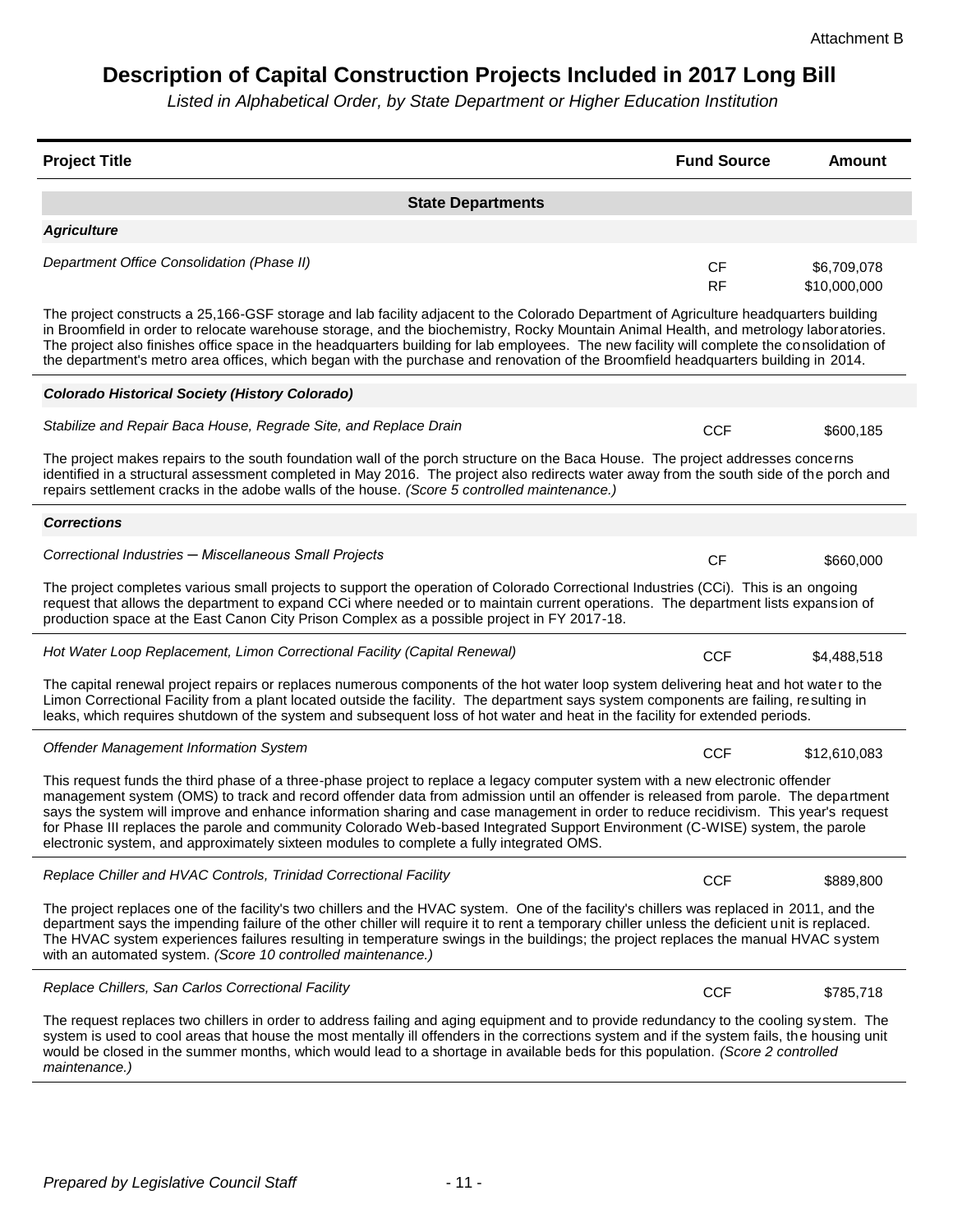# **Description of Capital Construction Projects Included in 2017 Long Bill**

*Listed in Alphabetical Order, by State Department or Higher Education Institution*

| <b>Project Title</b>                                                                                                                                                                                                                                                                                                                                                                                                                                                                                                                                                                                                                     | <b>Fund Source</b>     | <b>Amount</b>               |
|------------------------------------------------------------------------------------------------------------------------------------------------------------------------------------------------------------------------------------------------------------------------------------------------------------------------------------------------------------------------------------------------------------------------------------------------------------------------------------------------------------------------------------------------------------------------------------------------------------------------------------------|------------------------|-----------------------------|
| <b>State Departments</b>                                                                                                                                                                                                                                                                                                                                                                                                                                                                                                                                                                                                                 |                        |                             |
| <b>Agriculture</b>                                                                                                                                                                                                                                                                                                                                                                                                                                                                                                                                                                                                                       |                        |                             |
| Department Office Consolidation (Phase II)                                                                                                                                                                                                                                                                                                                                                                                                                                                                                                                                                                                               | <b>CF</b><br><b>RF</b> | \$6,709,078<br>\$10,000,000 |
| The project constructs a 25,166-GSF storage and lab facility adjacent to the Colorado Department of Agriculture headquarters building<br>in Broomfield in order to relocate warehouse storage, and the biochemistry, Rocky Mountain Animal Health, and metrology laboratories.<br>The project also finishes office space in the headquarters building for lab employees. The new facility will complete the consolidation of<br>the department's metro area offices, which began with the purchase and renovation of the Broomfield headquarters building in 2014.                                                                       |                        |                             |
| <b>Colorado Historical Society (History Colorado)</b>                                                                                                                                                                                                                                                                                                                                                                                                                                                                                                                                                                                    |                        |                             |
| Stabilize and Repair Baca House, Regrade Site, and Replace Drain                                                                                                                                                                                                                                                                                                                                                                                                                                                                                                                                                                         | <b>CCF</b>             | \$600,185                   |
| The project makes repairs to the south foundation wall of the porch structure on the Baca House. The project addresses concerns<br>identified in a structural assessment completed in May 2016. The project also redirects water away from the south side of the porch and<br>repairs settlement cracks in the adobe walls of the house. (Score 5 controlled maintenance.)                                                                                                                                                                                                                                                               |                        |                             |
| <b>Corrections</b>                                                                                                                                                                                                                                                                                                                                                                                                                                                                                                                                                                                                                       |                        |                             |
| Correctional Industries - Miscellaneous Small Projects                                                                                                                                                                                                                                                                                                                                                                                                                                                                                                                                                                                   | CF                     | \$660,000                   |
| The project completes various small projects to support the operation of Colorado Correctional Industries (CCi). This is an ongoing<br>request that allows the department to expand CCi where needed or to maintain current operations. The department lists expansion of<br>production space at the East Canon City Prison Complex as a possible project in FY 2017-18.                                                                                                                                                                                                                                                                 |                        |                             |
| Hot Water Loop Replacement, Limon Correctional Facility (Capital Renewal)                                                                                                                                                                                                                                                                                                                                                                                                                                                                                                                                                                | <b>CCF</b>             | \$4,488,518                 |
| The capital renewal project repairs or replaces numerous components of the hot water loop system delivering heat and hot water to the<br>Limon Correctional Facility from a plant located outside the facility. The department says system components are failing, resulting in<br>leaks, which requires shutdown of the system and subsequent loss of hot water and heat in the facility for extended periods.                                                                                                                                                                                                                          |                        |                             |
| Offender Management Information System                                                                                                                                                                                                                                                                                                                                                                                                                                                                                                                                                                                                   | <b>CCF</b>             | \$12,610,083                |
| This request funds the third phase of a three-phase project to replace a legacy computer system with a new electronic offender<br>management system (OMS) to track and record offender data from admission until an offender is released from parole. The department<br>says the system will improve and enhance information sharing and case management in order to reduce recidivism. This year's request<br>for Phase III replaces the parole and community Colorado Web-based Integrated Support Environment (C-WISE) system, the parole<br>electronic system, and approximately sixteen modules to complete a fully integrated OMS. |                        |                             |
| Replace Chiller and HVAC Controls, Trinidad Correctional Facility                                                                                                                                                                                                                                                                                                                                                                                                                                                                                                                                                                        | <b>CCF</b>             | \$889,800                   |
| The project replaces one of the facility's two chillers and the HVAC system. One of the facility's chillers was replaced in 2011, and the<br>department says the impending failure of the other chiller will require it to rent a temporary chiller unless the deficient unit is replaced.<br>The HVAC system experiences failures resulting in temperature swings in the buildings; the project replaces the manual HVAC system<br>with an automated system. (Score 10 controlled maintenance.)                                                                                                                                         |                        |                             |
| Replace Chillers, San Carlos Correctional Facility                                                                                                                                                                                                                                                                                                                                                                                                                                                                                                                                                                                       | <b>CCF</b>             | \$785,718                   |
| The request replaces two chillers in order to address failing and aging equipment and to provide redundancy to the cooling system. The<br>system is used to cool areas that house the most mentally ill offenders in the corrections system and if the system fails, the housing unit<br>would be closed in the summer months, which would lead to a shortage in available beds for this population. (Score 2 controlled<br>maintenance.)                                                                                                                                                                                                |                        |                             |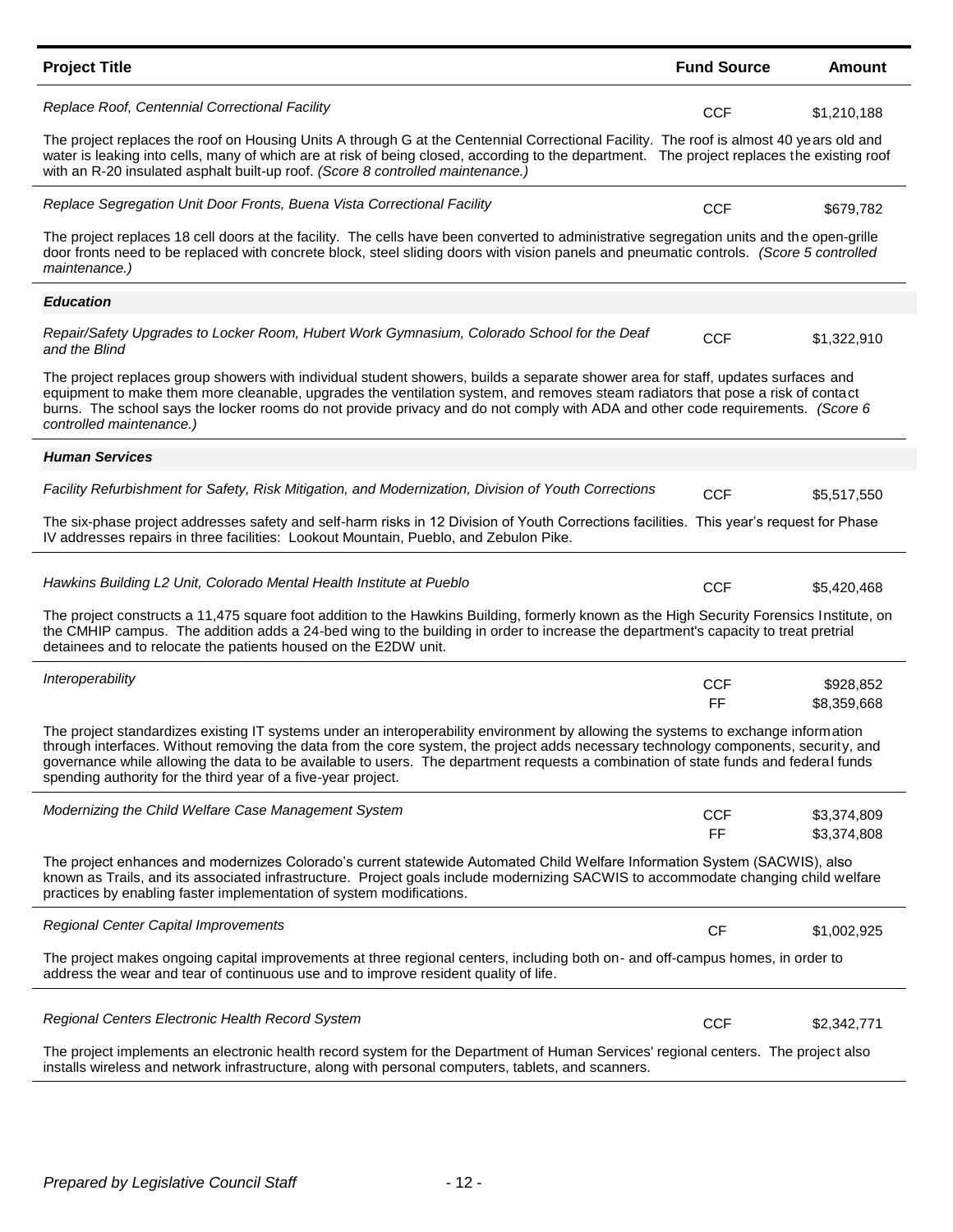| <b>Project Title</b>                                                                                                                                                                                                                                                                                                                                                                                                                                                              | <b>Fund Source</b> | Amount                     |
|-----------------------------------------------------------------------------------------------------------------------------------------------------------------------------------------------------------------------------------------------------------------------------------------------------------------------------------------------------------------------------------------------------------------------------------------------------------------------------------|--------------------|----------------------------|
| Replace Roof, Centennial Correctional Facility                                                                                                                                                                                                                                                                                                                                                                                                                                    | <b>CCF</b>         | \$1,210,188                |
| The project replaces the roof on Housing Units A through G at the Centennial Correctional Facility. The roof is almost 40 years old and<br>water is leaking into cells, many of which are at risk of being closed, according to the department. The project replaces the existing roof<br>with an R-20 insulated asphalt built-up roof. (Score 8 controlled maintenance.)                                                                                                         |                    |                            |
| Replace Segregation Unit Door Fronts, Buena Vista Correctional Facility                                                                                                                                                                                                                                                                                                                                                                                                           | <b>CCF</b>         | \$679,782                  |
| The project replaces 18 cell doors at the facility. The cells have been converted to administrative segregation units and the open-grille<br>door fronts need to be replaced with concrete block, steel sliding doors with vision panels and pneumatic controls. (Score 5 controlled<br>maintenance.)                                                                                                                                                                             |                    |                            |
| <b>Education</b>                                                                                                                                                                                                                                                                                                                                                                                                                                                                  |                    |                            |
| Repair/Safety Upgrades to Locker Room, Hubert Work Gymnasium, Colorado School for the Deaf<br>and the Blind                                                                                                                                                                                                                                                                                                                                                                       | <b>CCF</b>         | \$1,322,910                |
| The project replaces group showers with individual student showers, builds a separate shower area for staff, updates surfaces and<br>equipment to make them more cleanable, upgrades the ventilation system, and removes steam radiators that pose a risk of contact<br>burns. The school says the locker rooms do not provide privacy and do not comply with ADA and other code requirements. (Score 6<br>controlled maintenance.)                                               |                    |                            |
| <b>Human Services</b>                                                                                                                                                                                                                                                                                                                                                                                                                                                             |                    |                            |
| Facility Refurbishment for Safety, Risk Mitigation, and Modernization, Division of Youth Corrections                                                                                                                                                                                                                                                                                                                                                                              | <b>CCF</b>         | \$5,517,550                |
| The six-phase project addresses safety and self-harm risks in 12 Division of Youth Corrections facilities. This year's request for Phase<br>IV addresses repairs in three facilities: Lookout Mountain, Pueblo, and Zebulon Pike.                                                                                                                                                                                                                                                 |                    |                            |
| Hawkins Building L2 Unit, Colorado Mental Health Institute at Pueblo                                                                                                                                                                                                                                                                                                                                                                                                              | <b>CCF</b>         | \$5,420,468                |
| The project constructs a 11,475 square foot addition to the Hawkins Building, formerly known as the High Security Forensics Institute, on<br>the CMHIP campus. The addition adds a 24-bed wing to the building in order to increase the department's capacity to treat pretrial<br>detainees and to relocate the patients housed on the E2DW unit.                                                                                                                                |                    |                            |
| Interoperability                                                                                                                                                                                                                                                                                                                                                                                                                                                                  | <b>CCF</b>         | \$928,852                  |
|                                                                                                                                                                                                                                                                                                                                                                                                                                                                                   | FF                 | \$8,359,668                |
| The project standardizes existing IT systems under an interoperability environment by allowing the systems to exchange information<br>through interfaces. Without removing the data from the core system, the project adds necessary technology components, security, and<br>governance while allowing the data to be available to users. The department requests a combination of state funds and federal funds<br>spending authority for the third year of a five-year project. |                    |                            |
| Modernizing the Child Welfare Case Management System                                                                                                                                                                                                                                                                                                                                                                                                                              | <b>CCF</b><br>FF.  | \$3,374,809<br>\$3,374,808 |
| The project enhances and modernizes Colorado's current statewide Automated Child Welfare Information System (SACWIS), also<br>known as Trails, and its associated infrastructure. Project goals include modernizing SACWIS to accommodate changing child welfare<br>practices by enabling faster implementation of system modifications.                                                                                                                                          |                    |                            |
| <b>Regional Center Capital Improvements</b>                                                                                                                                                                                                                                                                                                                                                                                                                                       | <b>CF</b>          | \$1,002,925                |
| The project makes ongoing capital improvements at three regional centers, including both on- and off-campus homes, in order to<br>address the wear and tear of continuous use and to improve resident quality of life.                                                                                                                                                                                                                                                            |                    |                            |
| Regional Centers Electronic Health Record System                                                                                                                                                                                                                                                                                                                                                                                                                                  | <b>CCF</b>         | \$2,342,771                |
| The project implements an electronic health record system for the Department of Human Services' regional centers. The project also<br>installs wireless and network infrastructure, along with personal computers, tablets, and scanners.                                                                                                                                                                                                                                         |                    |                            |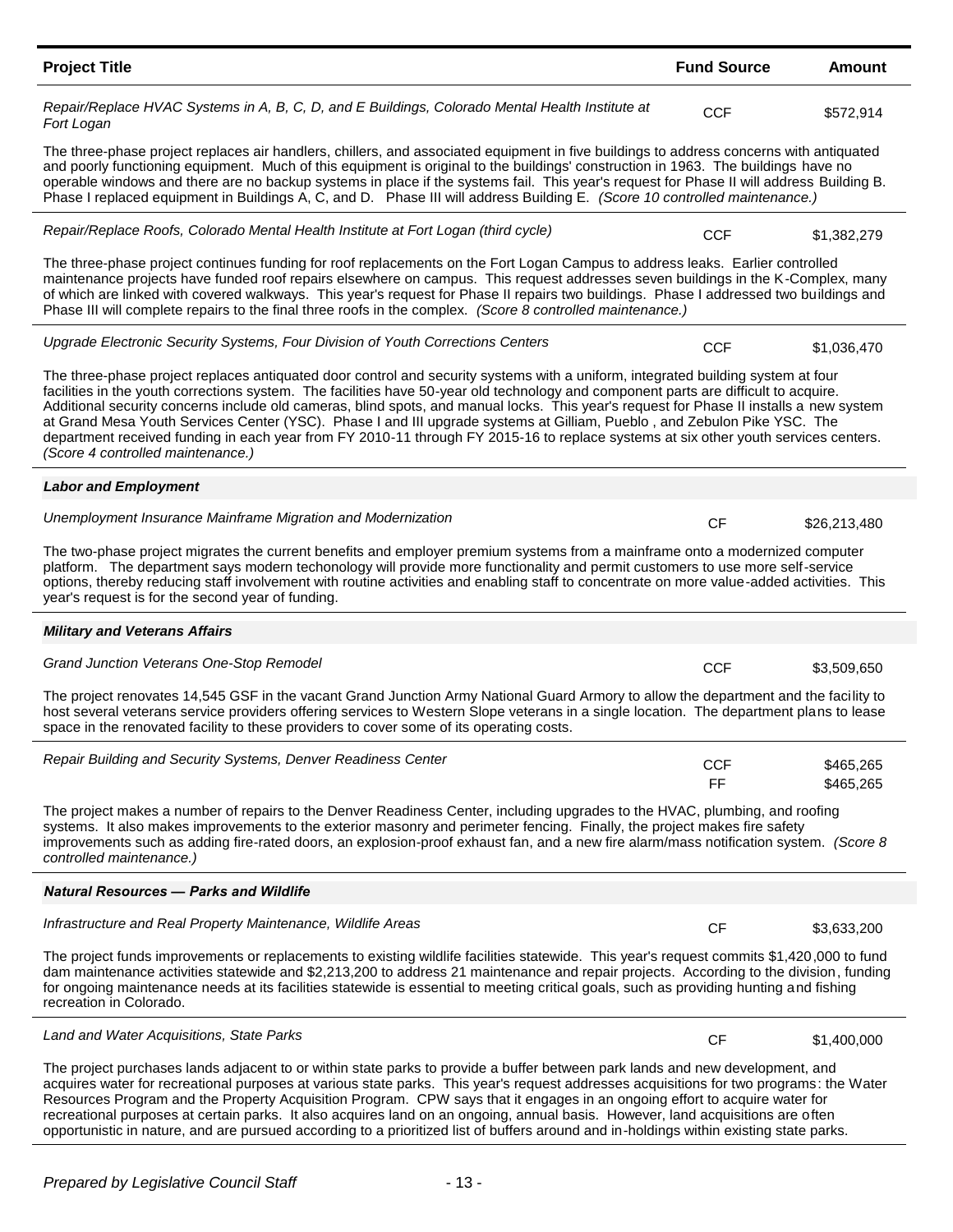| <b>Project Title</b>                                                                                                                                                                                                                                                                                                                                                                                                                                                                                                                                                                                                                                                                                                        | <b>Fund Source</b> | Amount                 |
|-----------------------------------------------------------------------------------------------------------------------------------------------------------------------------------------------------------------------------------------------------------------------------------------------------------------------------------------------------------------------------------------------------------------------------------------------------------------------------------------------------------------------------------------------------------------------------------------------------------------------------------------------------------------------------------------------------------------------------|--------------------|------------------------|
| Repair/Replace HVAC Systems in A, B, C, D, and E Buildings, Colorado Mental Health Institute at<br>Fort Logan                                                                                                                                                                                                                                                                                                                                                                                                                                                                                                                                                                                                               | <b>CCF</b>         | \$572,914              |
| The three-phase project replaces air handlers, chillers, and associated equipment in five buildings to address concerns with antiquated<br>and poorly functioning equipment. Much of this equipment is original to the buildings' construction in 1963. The buildings have no<br>operable windows and there are no backup systems in place if the systems fail. This year's request for Phase II will address Building B.<br>Phase I replaced equipment in Buildings A, C, and D. Phase III will address Building E. (Score 10 controlled maintenance.)                                                                                                                                                                     |                    |                        |
| Repair/Replace Roofs, Colorado Mental Health Institute at Fort Logan (third cycle)                                                                                                                                                                                                                                                                                                                                                                                                                                                                                                                                                                                                                                          | <b>CCF</b>         | \$1,382,279            |
| The three-phase project continues funding for roof replacements on the Fort Logan Campus to address leaks. Earlier controlled<br>maintenance projects have funded roof repairs elsewhere on campus. This request addresses seven buildings in the K-Complex, many<br>of which are linked with covered walkways. This year's request for Phase II repairs two buildings. Phase I addressed two buildings and<br>Phase III will complete repairs to the final three roofs in the complex. (Score 8 controlled maintenance.)                                                                                                                                                                                                   |                    |                        |
| Upgrade Electronic Security Systems, Four Division of Youth Corrections Centers                                                                                                                                                                                                                                                                                                                                                                                                                                                                                                                                                                                                                                             | <b>CCF</b>         | \$1,036,470            |
| The three-phase project replaces antiquated door control and security systems with a uniform, integrated building system at four<br>facilities in the youth corrections system. The facilities have 50-year old technology and component parts are difficult to acquire.<br>Additional security concerns include old cameras, blind spots, and manual locks. This year's request for Phase II installs a new system<br>at Grand Mesa Youth Services Center (YSC). Phase I and III upgrade systems at Gilliam, Pueblo, and Zebulon Pike YSC. The<br>department received funding in each year from FY 2010-11 through FY 2015-16 to replace systems at six other youth services centers.<br>(Score 4 controlled maintenance.) |                    |                        |
| <b>Labor and Employment</b>                                                                                                                                                                                                                                                                                                                                                                                                                                                                                                                                                                                                                                                                                                 |                    |                        |
| Unemployment Insurance Mainframe Migration and Modernization                                                                                                                                                                                                                                                                                                                                                                                                                                                                                                                                                                                                                                                                | <b>CF</b>          | \$26,213,480           |
| The two-phase project migrates the current benefits and employer premium systems from a mainframe onto a modernized computer<br>platform. The department says modern techonology will provide more functionality and permit customers to use more self-service<br>options, thereby reducing staff involvement with routine activities and enabling staff to concentrate on more value-added activities. This<br>year's request is for the second year of funding.                                                                                                                                                                                                                                                           |                    |                        |
| <b>Military and Veterans Affairs</b>                                                                                                                                                                                                                                                                                                                                                                                                                                                                                                                                                                                                                                                                                        |                    |                        |
| Grand Junction Veterans One-Stop Remodel                                                                                                                                                                                                                                                                                                                                                                                                                                                                                                                                                                                                                                                                                    | <b>CCF</b>         | \$3,509,650            |
| The project renovates 14,545 GSF in the vacant Grand Junction Army National Guard Armory to allow the department and the facility to<br>host several veterans service providers offering services to Western Slope veterans in a single location. The department plans to lease<br>space in the renovated facility to these providers to cover some of its operating costs.                                                                                                                                                                                                                                                                                                                                                 |                    |                        |
| Repair Building and Security Systems, Denver Readiness Center                                                                                                                                                                                                                                                                                                                                                                                                                                                                                                                                                                                                                                                               | CCF<br>FF          | \$465,265<br>\$465,265 |
| The project makes a number of repairs to the Denver Readiness Center, including upgrades to the HVAC, plumbing, and roofing<br>systems. It also makes improvements to the exterior masonry and perimeter fencing. Finally, the project makes fire safety<br>improvements such as adding fire-rated doors, an explosion-proof exhaust fan, and a new fire alarm/mass notification system. (Score 8<br>controlled maintenance.)                                                                                                                                                                                                                                                                                               |                    |                        |
| <b>Natural Resources - Parks and Wildlife</b>                                                                                                                                                                                                                                                                                                                                                                                                                                                                                                                                                                                                                                                                               |                    |                        |
| Infrastructure and Real Property Maintenance, Wildlife Areas                                                                                                                                                                                                                                                                                                                                                                                                                                                                                                                                                                                                                                                                | <b>CF</b>          | \$3,633,200            |
| The project funds improvements or replacements to existing wildlife facilities statewide. This year's request commits \$1,420,000 to fund<br>dam maintenance activities statewide and \$2,213,200 to address 21 maintenance and repair projects. According to the division, funding<br>for ongoing maintenance needs at its facilities statewide is essential to meeting critical goals, such as providing hunting and fishing<br>recreation in Colorado.                                                                                                                                                                                                                                                                   |                    |                        |
| Land and Water Acquisitions, State Parks                                                                                                                                                                                                                                                                                                                                                                                                                                                                                                                                                                                                                                                                                    | <b>CF</b>          | \$1,400,000            |
| The project purchases lands adjacent to or within state parks to provide a buffer between park lands and new development, and<br>acquires water for recreational purposes at various state parks. This year's request addresses acquisitions for two programs: the Water<br>Resources Program and the Property Acquisition Program. CPW says that it engages in an ongoing effort to acquire water for                                                                                                                                                                                                                                                                                                                      |                    |                        |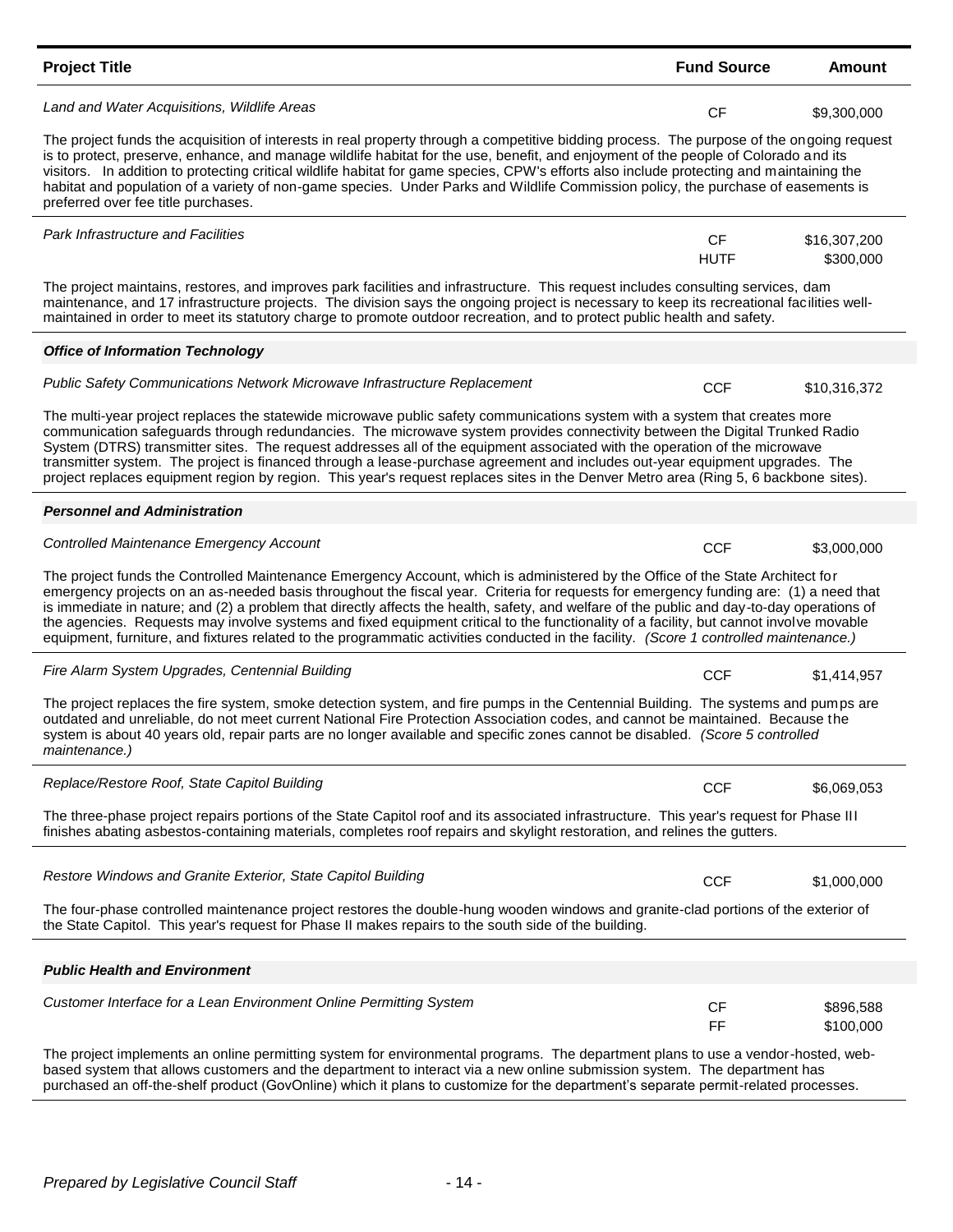| <b>Project Title</b>                                                                                                                                                                                                                                                                                                                                                                                                                                                                                                                                                                                                                                                                                      | <b>Fund Source</b>       | <b>Amount</b>             |
|-----------------------------------------------------------------------------------------------------------------------------------------------------------------------------------------------------------------------------------------------------------------------------------------------------------------------------------------------------------------------------------------------------------------------------------------------------------------------------------------------------------------------------------------------------------------------------------------------------------------------------------------------------------------------------------------------------------|--------------------------|---------------------------|
| Land and Water Acquisitions, Wildlife Areas                                                                                                                                                                                                                                                                                                                                                                                                                                                                                                                                                                                                                                                               | <b>CF</b>                | \$9,300,000               |
| The project funds the acquisition of interests in real property through a competitive bidding process. The purpose of the ongoing request<br>is to protect, preserve, enhance, and manage wildlife habitat for the use, benefit, and enjoyment of the people of Colorado and its<br>visitors. In addition to protecting critical wildlife habitat for game species, CPW's efforts also include protecting and maintaining the<br>habitat and population of a variety of non-game species. Under Parks and Wildlife Commission policy, the purchase of easements is<br>preferred over fee title purchases.                                                                                                 |                          |                           |
| <b>Park Infrastructure and Facilities</b>                                                                                                                                                                                                                                                                                                                                                                                                                                                                                                                                                                                                                                                                 | <b>CF</b><br><b>HUTF</b> | \$16,307,200<br>\$300,000 |
| The project maintains, restores, and improves park facilities and infrastructure. This request includes consulting services, dam<br>maintenance, and 17 infrastructure projects. The division says the ongoing project is necessary to keep its recreational facilities well-<br>maintained in order to meet its statutory charge to promote outdoor recreation, and to protect public health and safety.                                                                                                                                                                                                                                                                                                 |                          |                           |
| <b>Office of Information Technology</b>                                                                                                                                                                                                                                                                                                                                                                                                                                                                                                                                                                                                                                                                   |                          |                           |
| Public Safety Communications Network Microwave Infrastructure Replacement                                                                                                                                                                                                                                                                                                                                                                                                                                                                                                                                                                                                                                 | <b>CCF</b>               | \$10,316,372              |
| The multi-year project replaces the statewide microwave public safety communications system with a system that creates more<br>communication safeguards through redundancies. The microwave system provides connectivity between the Digital Trunked Radio<br>System (DTRS) transmitter sites. The request addresses all of the equipment associated with the operation of the microwave<br>transmitter system. The project is financed through a lease-purchase agreement and includes out-year equipment upgrades. The<br>project replaces equipment region by region. This year's request replaces sites in the Denver Metro area (Ring 5, 6 backbone sites).                                          |                          |                           |
| <b>Personnel and Administration</b>                                                                                                                                                                                                                                                                                                                                                                                                                                                                                                                                                                                                                                                                       |                          |                           |
| <b>Controlled Maintenance Emergency Account</b>                                                                                                                                                                                                                                                                                                                                                                                                                                                                                                                                                                                                                                                           | <b>CCF</b>               | \$3,000,000               |
| The project funds the Controlled Maintenance Emergency Account, which is administered by the Office of the State Architect for<br>emergency projects on an as-needed basis throughout the fiscal year. Criteria for requests for emergency funding are: (1) a need that<br>is immediate in nature; and (2) a problem that directly affects the health, safety, and welfare of the public and day-to-day operations of<br>the agencies. Requests may involve systems and fixed equipment critical to the functionality of a facility, but cannot involve movable<br>equipment, furniture, and fixtures related to the programmatic activities conducted in the facility. (Score 1 controlled maintenance.) |                          |                           |
| Fire Alarm System Upgrades, Centennial Building                                                                                                                                                                                                                                                                                                                                                                                                                                                                                                                                                                                                                                                           | <b>CCF</b>               | \$1,414,957               |
| The project replaces the fire system, smoke detection system, and fire pumps in the Centennial Building. The systems and pumps are<br>outdated and unreliable, do not meet current National Fire Protection Association codes, and cannot be maintained. Because the<br>system is about 40 years old, repair parts are no longer available and specific zones cannot be disabled. (Score 5 controlled<br>maintenance.)                                                                                                                                                                                                                                                                                    |                          |                           |
| Replace/Restore Roof, State Capitol Building                                                                                                                                                                                                                                                                                                                                                                                                                                                                                                                                                                                                                                                              | <b>CCF</b>               | \$6,069,053               |
| The three-phase project repairs portions of the State Capitol roof and its associated infrastructure. This year's request for Phase III<br>finishes abating asbestos-containing materials, completes roof repairs and skylight restoration, and relines the gutters.                                                                                                                                                                                                                                                                                                                                                                                                                                      |                          |                           |
| Restore Windows and Granite Exterior, State Capitol Building                                                                                                                                                                                                                                                                                                                                                                                                                                                                                                                                                                                                                                              | <b>CCF</b>               | \$1,000,000               |
| The four-phase controlled maintenance project restores the double-hung wooden windows and granite-clad portions of the exterior of<br>the State Capitol. This year's request for Phase II makes repairs to the south side of the building.                                                                                                                                                                                                                                                                                                                                                                                                                                                                |                          |                           |
| <b>Public Health and Environment</b>                                                                                                                                                                                                                                                                                                                                                                                                                                                                                                                                                                                                                                                                      |                          |                           |
| Customer Interface for a Lean Environment Online Permitting System                                                                                                                                                                                                                                                                                                                                                                                                                                                                                                                                                                                                                                        | <b>CF</b><br>FF          | \$896,588<br>\$100,000    |
| The project implements an online permitting system for environmental programs. The department plans to use a vendor-hosted, web-<br>based system that allows customers and the department to interact via a new online submission system. The department has                                                                                                                                                                                                                                                                                                                                                                                                                                              |                          |                           |

purchased an off-the-shelf product (GovOnline) which it plans to customize for the department's separate permit-related processes.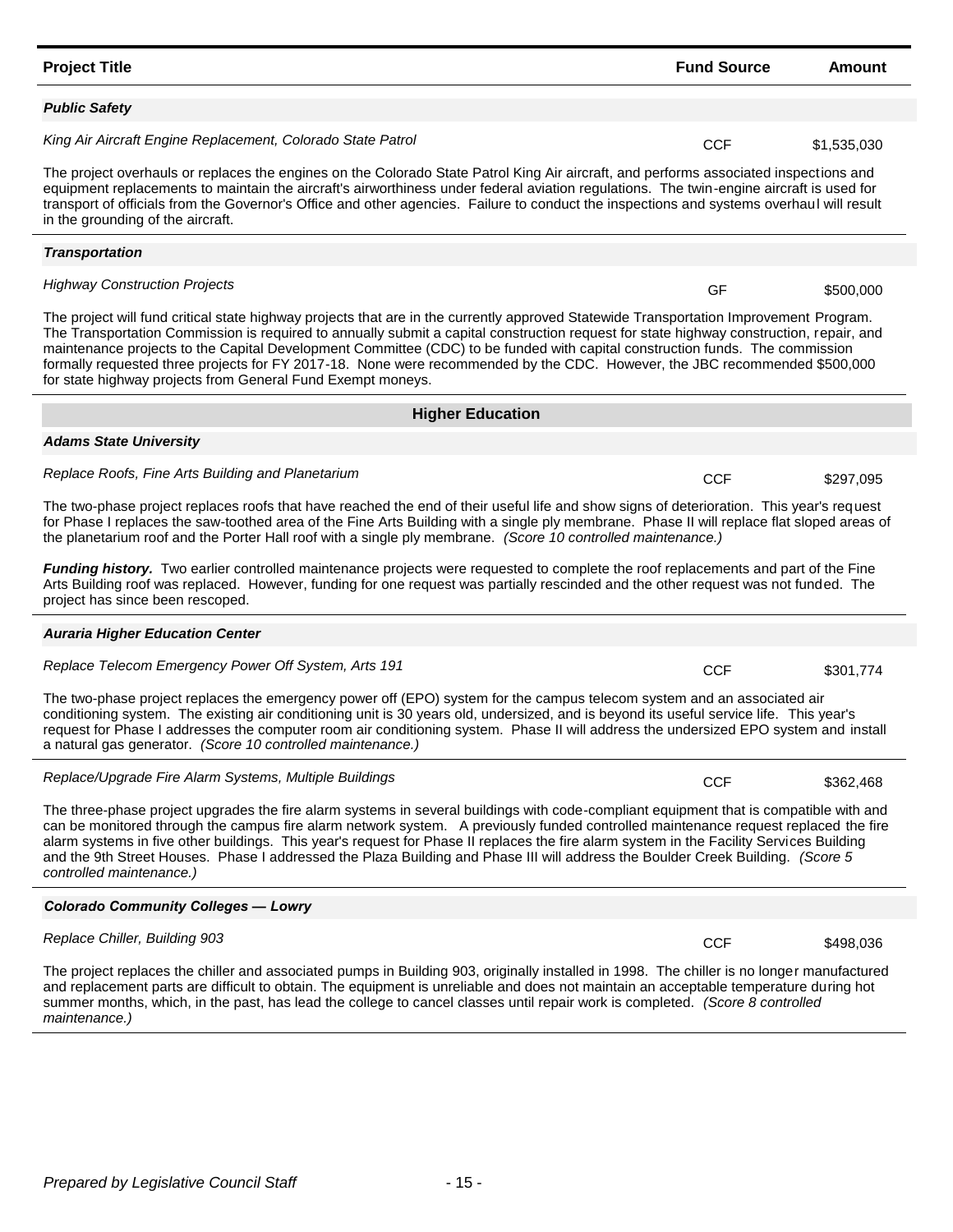#### **Project Title Fund Source Amount**

#### *Public Safety*

*Transportation*

*Adams State University*

King Air Aircraft Engine Replacement, Colorado State Patrol **National CCF** 61,535,030

The project overhauls or replaces the engines on the Colorado State Patrol King Air aircraft, and performs associated inspections and equipment replacements to maintain the aircraft's airworthiness under federal aviation regulations. The twin-engine aircraft is used for transport of officials from the Governor's Office and other agencies. Failure to conduct the inspections and systems overhaul will result in the grounding of the aircraft.

The project will fund critical state highway projects that are in the currently approved Statewide Transportation Improvement Program. The Transportation Commission is required to annually submit a capital construction request for state highway construction, repair, and maintenance projects to the Capital Development Committee (CDC) to be funded with capital construction funds. The commission *Highway Construction Projects* **GF**  $$500,000$ 

**Higher Education**

formally requested three projects for FY 2017-18. None were recommended by the CDC. However, the JBC recommended \$500,000 for state highway projects from General Fund Exempt moneys.

*Replace Roofs, Fine Arts Building and Planetarium* **Example 2008 CCF** \$297,095

The two-phase project replaces roofs that have reached the end of their useful life and show signs of deterioration. This year's request for Phase I replaces the saw-toothed area of the Fine Arts Building with a single ply membrane. Phase II will replace flat sloped areas of the planetarium roof and the Porter Hall roof with a single ply membrane. *(Score 10 controlled maintenance.)*

*Funding history.* Two earlier controlled maintenance projects were requested to complete the roof replacements and part of the Fine Arts Building roof was replaced. However, funding for one request was partially rescinded and the other request was not funded. The project has since been rescoped.

## *Auraria Higher Education Center*

*Replace Telecom Emergency Power Off System, Arts 191* **Example 2018 CCF 3301,774** 

The two-phase project replaces the emergency power off (EPO) system for the campus telecom system and an associated air conditioning system. The existing air conditioning unit is 30 years old, undersized, and is beyond its useful service life. This year's request for Phase I addresses the computer room air conditioning system. Phase II will address the undersized EPO system and install a natural gas generator. *(Score 10 controlled maintenance.)*

*Replace/Upgrade Fire Alarm Systems, Multiple Buildings* **CCF 600 and Systems** \$362,468

The three-phase project upgrades the fire alarm systems in several buildings with code-compliant equipment that is compatible with and can be monitored through the campus fire alarm network system. A previously funded controlled maintenance request replaced the fire alarm systems in five other buildings. This year's request for Phase II replaces the fire alarm system in the Facility Services Building and the 9th Street Houses. Phase I addressed the Plaza Building and Phase III will address the Boulder Creek Building. *(Score 5 controlled maintenance.)*

## *Colorado Community Colleges — Lowry*

## Replace Chiller, Building 903 **CCF** \$498,036

The project replaces the chiller and associated pumps in Building 903, originally installed in 1998. The chiller is no longer manufactured and replacement parts are difficult to obtain. The equipment is unreliable and does not maintain an acceptable temperature during hot summer months, which, in the past, has lead the college to cancel classes until repair work is completed. *(Score 8 controlled maintenance.)*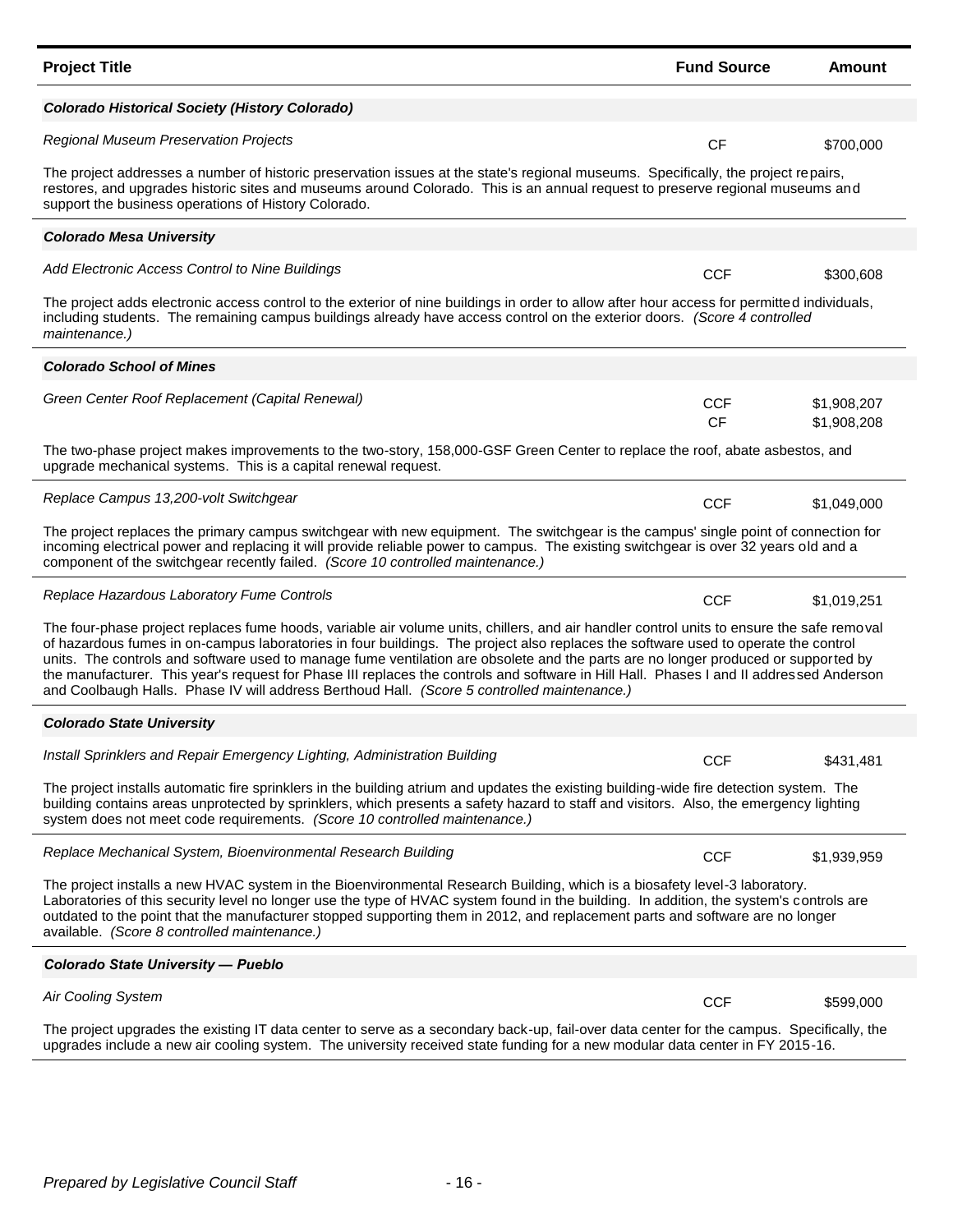| <b>Project Title</b>                                                                                                                                                                                                                                                                                                                                                                                                                                                                                                                                                                                                                                            | <b>Fund Source</b>      | Amount                     |  |  |  |
|-----------------------------------------------------------------------------------------------------------------------------------------------------------------------------------------------------------------------------------------------------------------------------------------------------------------------------------------------------------------------------------------------------------------------------------------------------------------------------------------------------------------------------------------------------------------------------------------------------------------------------------------------------------------|-------------------------|----------------------------|--|--|--|
| Colorado Historical Society (History Colorado)                                                                                                                                                                                                                                                                                                                                                                                                                                                                                                                                                                                                                  |                         |                            |  |  |  |
| <b>Regional Museum Preservation Projects</b>                                                                                                                                                                                                                                                                                                                                                                                                                                                                                                                                                                                                                    | <b>CF</b>               | \$700,000                  |  |  |  |
| The project addresses a number of historic preservation issues at the state's regional museums. Specifically, the project repairs,<br>restores, and upgrades historic sites and museums around Colorado. This is an annual request to preserve regional museums and<br>support the business operations of History Colorado.                                                                                                                                                                                                                                                                                                                                     |                         |                            |  |  |  |
| <b>Colorado Mesa University</b>                                                                                                                                                                                                                                                                                                                                                                                                                                                                                                                                                                                                                                 |                         |                            |  |  |  |
| Add Electronic Access Control to Nine Buildings                                                                                                                                                                                                                                                                                                                                                                                                                                                                                                                                                                                                                 | <b>CCF</b>              | \$300,608                  |  |  |  |
| The project adds electronic access control to the exterior of nine buildings in order to allow after hour access for permitted individuals,<br>including students. The remaining campus buildings already have access control on the exterior doors. (Score 4 controlled<br>maintenance.)                                                                                                                                                                                                                                                                                                                                                                       |                         |                            |  |  |  |
| <b>Colorado School of Mines</b>                                                                                                                                                                                                                                                                                                                                                                                                                                                                                                                                                                                                                                 |                         |                            |  |  |  |
| Green Center Roof Replacement (Capital Renewal)                                                                                                                                                                                                                                                                                                                                                                                                                                                                                                                                                                                                                 | <b>CCF</b><br><b>CF</b> | \$1,908,207<br>\$1,908,208 |  |  |  |
| The two-phase project makes improvements to the two-story, 158,000-GSF Green Center to replace the roof, abate asbestos, and<br>upgrade mechanical systems. This is a capital renewal request.                                                                                                                                                                                                                                                                                                                                                                                                                                                                  |                         |                            |  |  |  |
| Replace Campus 13,200-volt Switchgear                                                                                                                                                                                                                                                                                                                                                                                                                                                                                                                                                                                                                           | <b>CCF</b>              | \$1,049,000                |  |  |  |
| The project replaces the primary campus switchgear with new equipment. The switchgear is the campus' single point of connection for<br>incoming electrical power and replacing it will provide reliable power to campus. The existing switchgear is over 32 years old and a<br>component of the switchgear recently failed. (Score 10 controlled maintenance.)                                                                                                                                                                                                                                                                                                  |                         |                            |  |  |  |
| Replace Hazardous Laboratory Fume Controls                                                                                                                                                                                                                                                                                                                                                                                                                                                                                                                                                                                                                      | <b>CCF</b>              | \$1,019,251                |  |  |  |
| The four-phase project replaces fume hoods, variable air volume units, chillers, and air handler control units to ensure the safe removal<br>of hazardous fumes in on-campus laboratories in four buildings. The project also replaces the software used to operate the control<br>units. The controls and software used to manage fume ventilation are obsolete and the parts are no longer produced or supported by<br>the manufacturer. This year's request for Phase III replaces the controls and software in Hill Hall. Phases I and II addressed Anderson<br>and Coolbaugh Halls. Phase IV will address Berthoud Hall. (Score 5 controlled maintenance.) |                         |                            |  |  |  |
| <b>Colorado State University</b>                                                                                                                                                                                                                                                                                                                                                                                                                                                                                                                                                                                                                                |                         |                            |  |  |  |
| Install Sprinklers and Repair Emergency Lighting, Administration Building                                                                                                                                                                                                                                                                                                                                                                                                                                                                                                                                                                                       | CCF                     | \$431,481                  |  |  |  |
| The project installs automatic fire sprinklers in the building atrium and updates the existing building-wide fire detection system. The<br>building contains areas unprotected by sprinklers, which presents a safety hazard to staff and visitors. Also, the emergency lighting<br>system does not meet code requirements. (Score 10 controlled maintenance.)                                                                                                                                                                                                                                                                                                  |                         |                            |  |  |  |
| Replace Mechanical System, Bioenvironmental Research Building                                                                                                                                                                                                                                                                                                                                                                                                                                                                                                                                                                                                   | <b>CCF</b>              | \$1,939,959                |  |  |  |
| The project installs a new HVAC system in the Bioenvironmental Research Building, which is a biosafety level-3 laboratory.<br>Laboratories of this security level no longer use the type of HVAC system found in the building. In addition, the system's controls are<br>outdated to the point that the manufacturer stopped supporting them in 2012, and replacement parts and software are no longer<br>available. (Score 8 controlled maintenance.)                                                                                                                                                                                                          |                         |                            |  |  |  |
| <b>Colorado State University - Pueblo</b>                                                                                                                                                                                                                                                                                                                                                                                                                                                                                                                                                                                                                       |                         |                            |  |  |  |
| <b>Air Cooling System</b>                                                                                                                                                                                                                                                                                                                                                                                                                                                                                                                                                                                                                                       | <b>CCF</b>              | \$599,000                  |  |  |  |
| The project upgrades the existing IT data center to serve as a secondary back-up, fail-over data center for the campus. Specifically, the<br>upgrades include a new air cooling system. The university received state funding for a new modular data center in FY 2015-16.                                                                                                                                                                                                                                                                                                                                                                                      |                         |                            |  |  |  |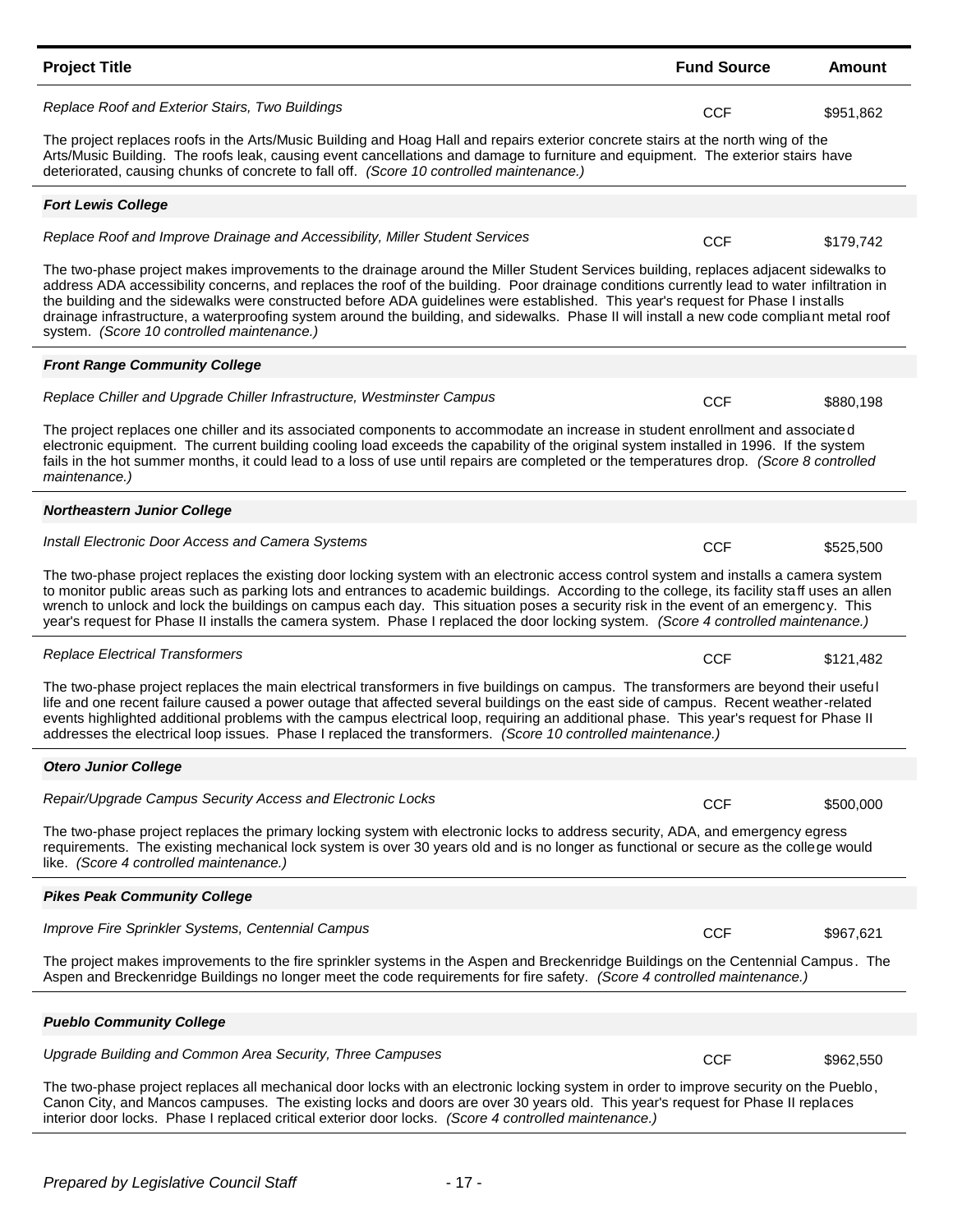| <b>Project Title</b>                                                                                                                                                                                                                                                                                                                                                                                                                                                                                                                                                                                               | <b>Fund Source</b> | <b>Amount</b> |  |
|--------------------------------------------------------------------------------------------------------------------------------------------------------------------------------------------------------------------------------------------------------------------------------------------------------------------------------------------------------------------------------------------------------------------------------------------------------------------------------------------------------------------------------------------------------------------------------------------------------------------|--------------------|---------------|--|
| Replace Roof and Exterior Stairs, Two Buildings                                                                                                                                                                                                                                                                                                                                                                                                                                                                                                                                                                    | <b>CCF</b>         | \$951,862     |  |
| The project replaces roofs in the Arts/Music Building and Hoag Hall and repairs exterior concrete stairs at the north wing of the<br>Arts/Music Building. The roofs leak, causing event cancellations and damage to furniture and equipment. The exterior stairs have<br>deteriorated, causing chunks of concrete to fall off. (Score 10 controlled maintenance.)                                                                                                                                                                                                                                                  |                    |               |  |
| <b>Fort Lewis College</b>                                                                                                                                                                                                                                                                                                                                                                                                                                                                                                                                                                                          |                    |               |  |
| Replace Roof and Improve Drainage and Accessibility, Miller Student Services                                                                                                                                                                                                                                                                                                                                                                                                                                                                                                                                       | <b>CCF</b>         | \$179,742     |  |
| The two-phase project makes improvements to the drainage around the Miller Student Services building, replaces adjacent sidewalks to<br>address ADA accessibility concerns, and replaces the roof of the building. Poor drainage conditions currently lead to water infiltration in<br>the building and the sidewalks were constructed before ADA guidelines were established. This year's request for Phase I installs<br>drainage infrastructure, a waterproofing system around the building, and sidewalks. Phase II will install a new code compliant metal roof<br>system. (Score 10 controlled maintenance.) |                    |               |  |
| <b>Front Range Community College</b>                                                                                                                                                                                                                                                                                                                                                                                                                                                                                                                                                                               |                    |               |  |
| Replace Chiller and Upgrade Chiller Infrastructure, Westminster Campus                                                                                                                                                                                                                                                                                                                                                                                                                                                                                                                                             | <b>CCF</b>         | \$880,198     |  |
| The project replaces one chiller and its associated components to accommodate an increase in student enrollment and associated<br>electronic equipment. The current building cooling load exceeds the capability of the original system installed in 1996. If the system<br>fails in the hot summer months, it could lead to a loss of use until repairs are completed or the temperatures drop. (Score 8 controlled<br>maintenance.)                                                                                                                                                                              |                    |               |  |
| <b>Northeastern Junior College</b>                                                                                                                                                                                                                                                                                                                                                                                                                                                                                                                                                                                 |                    |               |  |
| Install Electronic Door Access and Camera Systems                                                                                                                                                                                                                                                                                                                                                                                                                                                                                                                                                                  | <b>CCF</b>         | \$525,500     |  |
| The two-phase project replaces the existing door locking system with an electronic access control system and installs a camera system<br>to monitor public areas such as parking lots and entrances to academic buildings. According to the college, its facility staff uses an allen<br>wrench to unlock and lock the buildings on campus each day. This situation poses a security risk in the event of an emergency. This<br>year's request for Phase II installs the camera system. Phase I replaced the door locking system. (Score 4 controlled maintenance.)                                                |                    |               |  |
| <b>Replace Electrical Transformers</b>                                                                                                                                                                                                                                                                                                                                                                                                                                                                                                                                                                             | <b>CCF</b>         | \$121,482     |  |
| The two-phase project replaces the main electrical transformers in five buildings on campus. The transformers are beyond their useful<br>life and one recent failure caused a power outage that affected several buildings on the east side of campus. Recent weather-related<br>events highlighted additional problems with the campus electrical loop, requiring an additional phase. This year's request for Phase II<br>addresses the electrical loop issues. Phase I replaced the transformers. (Score 10 controlled maintenance.)                                                                            |                    |               |  |
| <b>Otero Junior College</b>                                                                                                                                                                                                                                                                                                                                                                                                                                                                                                                                                                                        |                    |               |  |
| Repair/Upgrade Campus Security Access and Electronic Locks                                                                                                                                                                                                                                                                                                                                                                                                                                                                                                                                                         | <b>CCF</b>         | \$500,000     |  |
| The two-phase project replaces the primary locking system with electronic locks to address security, ADA, and emergency egress<br>requirements. The existing mechanical lock system is over 30 years old and is no longer as functional or secure as the college would<br>like. (Score 4 controlled maintenance.)                                                                                                                                                                                                                                                                                                  |                    |               |  |
| <b>Pikes Peak Community College</b>                                                                                                                                                                                                                                                                                                                                                                                                                                                                                                                                                                                |                    |               |  |
| Improve Fire Sprinkler Systems, Centennial Campus                                                                                                                                                                                                                                                                                                                                                                                                                                                                                                                                                                  | <b>CCF</b>         | \$967,621     |  |
| The project makes improvements to the fire sprinkler systems in the Aspen and Breckenridge Buildings on the Centennial Campus. The<br>Aspen and Breckenridge Buildings no longer meet the code requirements for fire safety. (Score 4 controlled maintenance.)                                                                                                                                                                                                                                                                                                                                                     |                    |               |  |
| <b>Pueblo Community College</b>                                                                                                                                                                                                                                                                                                                                                                                                                                                                                                                                                                                    |                    |               |  |
| Upgrade Building and Common Area Security, Three Campuses                                                                                                                                                                                                                                                                                                                                                                                                                                                                                                                                                          |                    |               |  |
| The two-phase project replaces all mechanical door locks with an electronic locking system in order to improve security on the Pueblo,<br>Canon City, and Mancos campuses. The existing locks and doors are over 30 years old. This year's request for Phase II replaces<br>interior door locks. Phase I replaced critical exterior door locks. (Score 4 controlled maintenance.)                                                                                                                                                                                                                                  | <b>CCF</b>         | \$962,550     |  |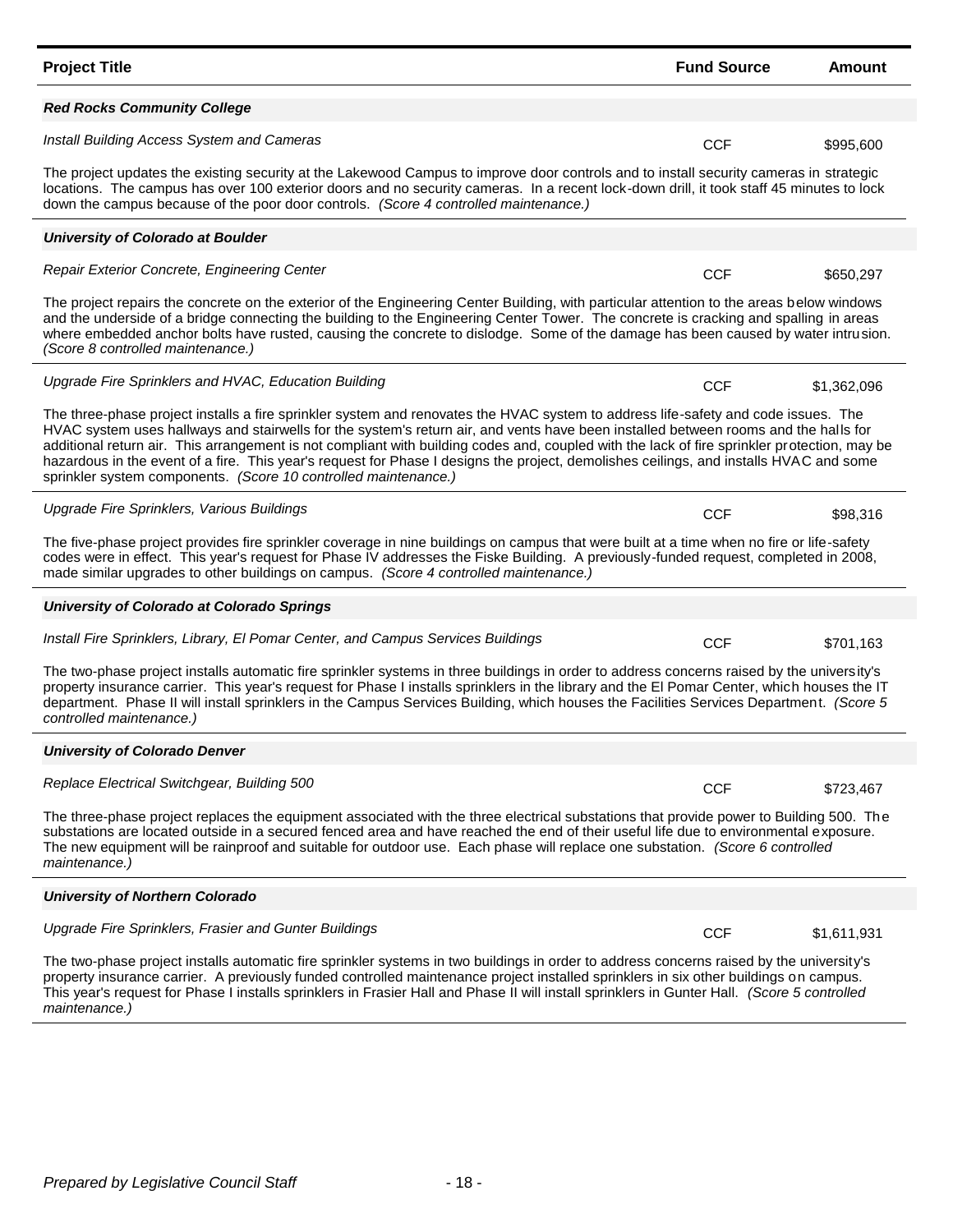| <b>Project Title</b>                                                                                                                                                                                                                                                                                                                                                                                                                                                                                                                                                                                                                   | <b>Fund Source</b> | Amount      |
|----------------------------------------------------------------------------------------------------------------------------------------------------------------------------------------------------------------------------------------------------------------------------------------------------------------------------------------------------------------------------------------------------------------------------------------------------------------------------------------------------------------------------------------------------------------------------------------------------------------------------------------|--------------------|-------------|
| <b>Red Rocks Community College</b>                                                                                                                                                                                                                                                                                                                                                                                                                                                                                                                                                                                                     |                    |             |
| Install Building Access System and Cameras                                                                                                                                                                                                                                                                                                                                                                                                                                                                                                                                                                                             | <b>CCF</b>         | \$995,600   |
| The project updates the existing security at the Lakewood Campus to improve door controls and to install security cameras in strategic<br>locations. The campus has over 100 exterior doors and no security cameras. In a recent lock-down drill, it took staff 45 minutes to lock<br>down the campus because of the poor door controls. (Score 4 controlled maintenance.)                                                                                                                                                                                                                                                             |                    |             |
| <b>University of Colorado at Boulder</b>                                                                                                                                                                                                                                                                                                                                                                                                                                                                                                                                                                                               |                    |             |
| Repair Exterior Concrete, Engineering Center                                                                                                                                                                                                                                                                                                                                                                                                                                                                                                                                                                                           | <b>CCF</b>         | \$650,297   |
| The project repairs the concrete on the exterior of the Engineering Center Building, with particular attention to the areas below windows<br>and the underside of a bridge connecting the building to the Engineering Center Tower. The concrete is cracking and spalling in areas<br>where embedded anchor bolts have rusted, causing the concrete to dislodge. Some of the damage has been caused by water intrusion.<br>(Score 8 controlled maintenance.)                                                                                                                                                                           |                    |             |
| Upgrade Fire Sprinklers and HVAC, Education Building                                                                                                                                                                                                                                                                                                                                                                                                                                                                                                                                                                                   | <b>CCF</b>         | \$1,362,096 |
| The three-phase project installs a fire sprinkler system and renovates the HVAC system to address life-safety and code issues. The<br>HVAC system uses hallways and stairwells for the system's return air, and vents have been installed between rooms and the halls for<br>additional return air. This arrangement is not compliant with building codes and, coupled with the lack of fire sprinkler protection, may be<br>hazardous in the event of a fire. This year's request for Phase I designs the project, demolishes ceilings, and installs HVAC and some<br>sprinkler system components. (Score 10 controlled maintenance.) |                    |             |
| Upgrade Fire Sprinklers, Various Buildings                                                                                                                                                                                                                                                                                                                                                                                                                                                                                                                                                                                             | <b>CCF</b>         | \$98,316    |
| The five-phase project provides fire sprinkler coverage in nine buildings on campus that were built at a time when no fire or life-safety<br>codes were in effect. This year's request for Phase IV addresses the Fiske Building. A previously-funded request, completed in 2008,<br>made similar upgrades to other buildings on campus. (Score 4 controlled maintenance.)                                                                                                                                                                                                                                                             |                    |             |
| University of Colorado at Colorado Springs                                                                                                                                                                                                                                                                                                                                                                                                                                                                                                                                                                                             |                    |             |
| Install Fire Sprinklers, Library, El Pomar Center, and Campus Services Buildings                                                                                                                                                                                                                                                                                                                                                                                                                                                                                                                                                       | <b>CCF</b>         | \$701,163   |
| The two-phase project installs automatic fire sprinkler systems in three buildings in order to address concerns raised by the university's<br>property insurance carrier. This year's request for Phase I installs sprinklers in the library and the El Pomar Center, which houses the IT<br>department. Phase II will install sprinklers in the Campus Services Building, which houses the Facilities Services Department. (Score 5<br>controlled maintenance.)                                                                                                                                                                       |                    |             |
| <b>University of Colorado Denver</b>                                                                                                                                                                                                                                                                                                                                                                                                                                                                                                                                                                                                   |                    |             |
| Replace Electrical Switchgear, Building 500                                                                                                                                                                                                                                                                                                                                                                                                                                                                                                                                                                                            | CCF                | \$723,467   |
| The three-phase project replaces the equipment associated with the three electrical substations that provide power to Building 500. The<br>substations are located outside in a secured fenced area and have reached the end of their useful life due to environmental exposure.<br>The new equipment will be rainproof and suitable for outdoor use. Each phase will replace one substation. (Score 6 controlled<br>maintenance.)                                                                                                                                                                                                     |                    |             |
| <b>University of Northern Colorado</b>                                                                                                                                                                                                                                                                                                                                                                                                                                                                                                                                                                                                 |                    |             |
| Upgrade Fire Sprinklers, Frasier and Gunter Buildings                                                                                                                                                                                                                                                                                                                                                                                                                                                                                                                                                                                  | <b>CCF</b>         | \$1,611,931 |
| The two-phase project installs automatic fire sprinkler systems in two buildings in order to address concerns raised by the university's<br>property insurance carrier. A previously funded controlled maintenance project installed sprinklers in six other buildings on campus.<br>This year's request for Phase I installs sprinklers in Frasier Hall and Phase II will install sprinklers in Gunter Hall. (Score 5 controlled<br>maintenance.)                                                                                                                                                                                     |                    |             |